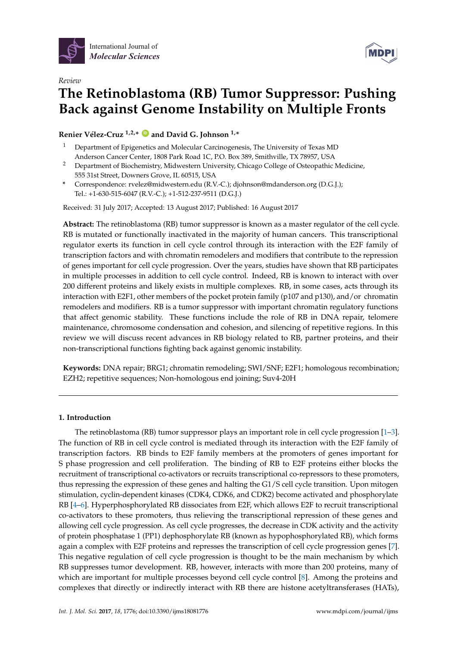

*Review*



# **The Retinoblastoma (RB) Tumor Suppressor: Pushing Back against Genome Instability on Multiple Fronts**

**Renier Vélez-Cruz 1,2,\* [ID](https://orcid.org/0000-0003-1857-4312) and David G. Johnson 1,\***

- <sup>1</sup> Department of Epigenetics and Molecular Carcinogenesis, The University of Texas MD Anderson Cancer Center, 1808 Park Road 1C, P.O. Box 389, Smithville, TX 78957, USA
- <sup>2</sup> Department of Biochemistry, Midwestern University, Chicago College of Osteopathic Medicine, 555 31st Street, Downers Grove, IL 60515, USA
- **\*** Correspondence: rvelez@midwestern.edu (R.V.-C.); djohnson@mdanderson.org (D.G.J.); Tel.: +1-630-515-6047 (R.V.-C.); +1-512-237-9511 (D.G.J.)

Received: 31 July 2017; Accepted: 13 August 2017; Published: 16 August 2017

**Abstract:** The retinoblastoma (RB) tumor suppressor is known as a master regulator of the cell cycle. RB is mutated or functionally inactivated in the majority of human cancers. This transcriptional regulator exerts its function in cell cycle control through its interaction with the E2F family of transcription factors and with chromatin remodelers and modifiers that contribute to the repression of genes important for cell cycle progression. Over the years, studies have shown that RB participates in multiple processes in addition to cell cycle control. Indeed, RB is known to interact with over 200 different proteins and likely exists in multiple complexes. RB, in some cases, acts through its interaction with E2F1, other members of the pocket protein family (p107 and p130), and/or chromatin remodelers and modifiers. RB is a tumor suppressor with important chromatin regulatory functions that affect genomic stability. These functions include the role of RB in DNA repair, telomere maintenance, chromosome condensation and cohesion, and silencing of repetitive regions. In this review we will discuss recent advances in RB biology related to RB, partner proteins, and their non-transcriptional functions fighting back against genomic instability.

**Keywords:** DNA repair; BRG1; chromatin remodeling; SWI/SNF; E2F1; homologous recombination; EZH2; repetitive sequences; Non-homologous end joining; Suv4-20H

# **1. Introduction**

The retinoblastoma (RB) tumor suppressor plays an important role in cell cycle progression [\[1–](#page-10-0)[3\]](#page-10-1). The function of RB in cell cycle control is mediated through its interaction with the E2F family of transcription factors. RB binds to E2F family members at the promoters of genes important for S phase progression and cell proliferation. The binding of RB to E2F proteins either blocks the recruitment of transcriptional co-activators or recruits transcriptional co-repressors to these promoters, thus repressing the expression of these genes and halting the G1/S cell cycle transition. Upon mitogen stimulation, cyclin-dependent kinases (CDK4, CDK6, and CDK2) become activated and phosphorylate RB [\[4](#page-10-2)[–6\]](#page-10-3). Hyperphosphorylated RB dissociates from E2F, which allows E2F to recruit transcriptional co-activators to these promoters, thus relieving the transcriptional repression of these genes and allowing cell cycle progression. As cell cycle progresses, the decrease in CDK activity and the activity of protein phosphatase 1 (PP1) dephosphorylate RB (known as hypophosphorylated RB), which forms again a complex with E2F proteins and represses the transcription of cell cycle progression genes [\[7\]](#page-10-4). This negative regulation of cell cycle progression is thought to be the main mechanism by which RB suppresses tumor development. RB, however, interacts with more than 200 proteins, many of which are important for multiple processes beyond cell cycle control [\[8\]](#page-10-5). Among the proteins and complexes that directly or indirectly interact with RB there are histone acetyltransferases (HATs),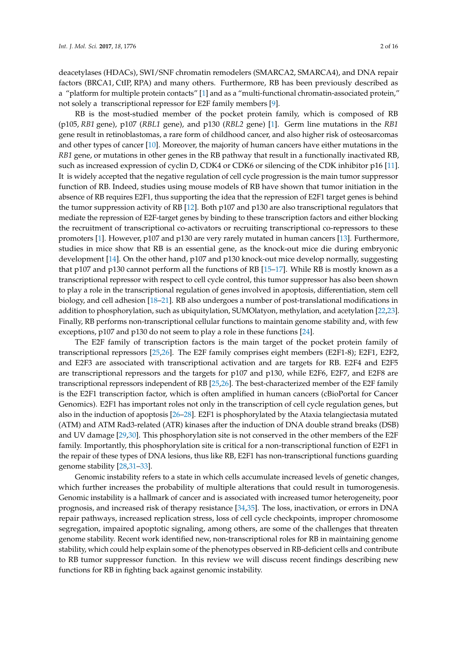deacetylases (HDACs), SWI/SNF chromatin remodelers (SMARCA2, SMARCA4), and DNA repair factors (BRCA1, CtIP, RPA) and many others. Furthermore, RB has been previously described as a "platform for multiple protein contacts" [\[1\]](#page-10-0) and as a "multi-functional chromatin-associated protein," not solely a transcriptional repressor for E2F family members [\[9\]](#page-10-6).

RB is the most-studied member of the pocket protein family, which is composed of RB (p105, *RB1* gene), p107 (*RBL1* gene), and p130 (*RBL2* gene) [\[1\]](#page-10-0). Germ line mutations in the *RB1* gene result in retinoblastomas, a rare form of childhood cancer, and also higher risk of osteosarcomas and other types of cancer [\[10\]](#page-10-7). Moreover, the majority of human cancers have either mutations in the *RB1* gene, or mutations in other genes in the RB pathway that result in a functionally inactivated RB, such as increased expression of cyclin D, CDK4 or CDK6 or silencing of the CDK inhibitor p16 [\[11\]](#page-10-8). It is widely accepted that the negative regulation of cell cycle progression is the main tumor suppressor function of RB. Indeed, studies using mouse models of RB have shown that tumor initiation in the absence of RB requires E2F1, thus supporting the idea that the repression of E2F1 target genes is behind the tumor suppression activity of RB [\[12\]](#page-10-9). Both p107 and p130 are also transcriptional regulators that mediate the repression of E2F-target genes by binding to these transcription factors and either blocking the recruitment of transcriptional co-activators or recruiting transcriptional co-repressors to these promoters [\[1\]](#page-10-0). However, p107 and p130 are very rarely mutated in human cancers [\[13\]](#page-10-10). Furthermore, studies in mice show that RB is an essential gene, as the knock-out mice die during embryonic development [\[14\]](#page-10-11). On the other hand, p107 and p130 knock-out mice develop normally, suggesting that p107 and p130 cannot perform all the functions of RB [\[15–](#page-10-12)[17\]](#page-10-13). While RB is mostly known as a transcriptional repressor with respect to cell cycle control, this tumor suppressor has also been shown to play a role in the transcriptional regulation of genes involved in apoptosis, differentiation, stem cell biology, and cell adhesion [\[18](#page-10-14)[–21\]](#page-10-15). RB also undergoes a number of post-translational modifications in addition to phosphorylation, such as ubiquitylation, SUMOlatyon, methylation, and acetylation [\[22](#page-10-16)[,23\]](#page-11-0). Finally, RB performs non-transcriptional cellular functions to maintain genome stability and, with few exceptions, p107 and p130 do not seem to play a role in these functions [\[24\]](#page-11-1).

The E2F family of transcription factors is the main target of the pocket protein family of transcriptional repressors [\[25](#page-11-2)[,26\]](#page-11-3). The E2F family comprises eight members (E2F1-8); E2F1, E2F2, and E2F3 are associated with transcriptional activation and are targets for RB. E2F4 and E2F5 are transcriptional repressors and the targets for p107 and p130, while E2F6, E2F7, and E2F8 are transcriptional repressors independent of RB [\[25](#page-11-2)[,26\]](#page-11-3). The best-characterized member of the E2F family is the E2F1 transcription factor, which is often amplified in human cancers (cBioPortal for Cancer Genomics). E2F1 has important roles not only in the transcription of cell cycle regulation genes, but also in the induction of apoptosis [\[26–](#page-11-3)[28\]](#page-11-4). E2F1 is phosphorylated by the Ataxia telangiectasia mutated (ATM) and ATM Rad3-related (ATR) kinases after the induction of DNA double strand breaks (DSB) and UV damage [\[29](#page-11-5)[,30\]](#page-11-6). This phosphorylation site is not conserved in the other members of the E2F family. Importantly, this phosphorylation site is critical for a non-transcriptional function of E2F1 in the repair of these types of DNA lesions, thus like RB, E2F1 has non-transcriptional functions guarding genome stability [\[28](#page-11-4)[,31–](#page-11-7)[33\]](#page-11-8).

Genomic instability refers to a state in which cells accumulate increased levels of genetic changes, which further increases the probability of multiple alterations that could result in tumorogenesis. Genomic instability is a hallmark of cancer and is associated with increased tumor heterogeneity, poor prognosis, and increased risk of therapy resistance [\[34](#page-11-9)[,35\]](#page-11-10). The loss, inactivation, or errors in DNA repair pathways, increased replication stress, loss of cell cycle checkpoints, improper chromosome segregation, impaired apoptotic signaling, among others, are some of the challenges that threaten genome stability. Recent work identified new, non-transcriptional roles for RB in maintaining genome stability, which could help explain some of the phenotypes observed in RB-deficient cells and contribute to RB tumor suppressor function. In this review we will discuss recent findings describing new functions for RB in fighting back against genomic instability.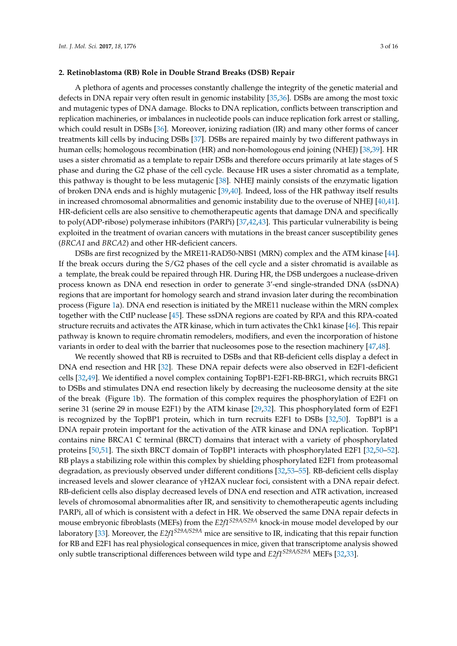### **2. Retinoblastoma (RB) Role in Double Strand Breaks (DSB) Repair**

A plethora of agents and processes constantly challenge the integrity of the genetic material and defects in DNA repair very often result in genomic instability [\[35](#page-11-10)[,36\]](#page-11-11). DSBs are among the most toxic and mutagenic types of DNA damage. Blocks to DNA replication, conflicts between transcription and replication machineries, or imbalances in nucleotide pools can induce replication fork arrest or stalling, which could result in DSBs [\[36\]](#page-11-11). Moreover, ionizing radiation (IR) and many other forms of cancer treatments kill cells by inducing DSBs [\[37\]](#page-11-12). DSBs are repaired mainly by two different pathways in human cells; homologous recombination (HR) and non-homologous end joining (NHEJ) [\[38](#page-11-13)[,39\]](#page-11-14). HR uses a sister chromatid as a template to repair DSBs and therefore occurs primarily at late stages of S phase and during the G2 phase of the cell cycle. Because HR uses a sister chromatid as a template, this pathway is thought to be less mutagenic [\[38\]](#page-11-13). NHEJ mainly consists of the enzymatic ligation of broken DNA ends and is highly mutagenic [\[39](#page-11-14)[,40\]](#page-11-15). Indeed, loss of the HR pathway itself results in increased chromosomal abnormalities and genomic instability due to the overuse of NHEJ [\[40,](#page-11-15)[41\]](#page-11-16). HR-deficient cells are also sensitive to chemotherapeutic agents that damage DNA and specifically to poly(ADP-ribose) polymerase inhibitors (PARPi) [\[37](#page-11-12)[,42,](#page-11-17)[43\]](#page-11-18). This particular vulnerability is being exploited in the treatment of ovarian cancers with mutations in the breast cancer susceptibility genes (*BRCA1* and *BRCA2*) and other HR-deficient cancers.

DSBs are first recognized by the MRE11-RAD50-NBS1 (MRN) complex and the ATM kinase [\[44\]](#page-11-19). If the break occurs during the S/G2 phases of the cell cycle and a sister chromatid is available as a template, the break could be repaired through HR. During HR, the DSB undergoes a nuclease-driven process known as DNA end resection in order to generate 3'-end single-stranded DNA (ssDNA) regions that are important for homology search and strand invasion later during the recombination process (Figure [1a](#page-3-0)). DNA end resection is initiated by the MRE11 nuclease within the MRN complex together with the CtIP nuclease [\[45\]](#page-11-20). These ssDNA regions are coated by RPA and this RPA-coated structure recruits and activates the ATR kinase, which in turn activates the Chk1 kinase [\[46\]](#page-11-21). This repair pathway is known to require chromatin remodelers, modifiers, and even the incorporation of histone variants in order to deal with the barrier that nucleosomes pose to the resection machinery [\[47,](#page-11-22)[48\]](#page-12-0).

We recently showed that RB is recruited to DSBs and that RB-deficient cells display a defect in DNA end resection and HR [\[32\]](#page-11-23). These DNA repair defects were also observed in E2F1-deficient cells [\[32,](#page-11-23)[49\]](#page-12-1). We identified a novel complex containing TopBP1-E2F1-RB-BRG1, which recruits BRG1 to DSBs and stimulates DNA end resection likely by decreasing the nucleosome density at the site of the break (Figure [1b](#page-3-0)). The formation of this complex requires the phosphorylation of E2F1 on serine 31 (serine 29 in mouse E2F1) by the ATM kinase [\[29](#page-11-5)[,32\]](#page-11-23). This phosphorylated form of E2F1 is recognized by the TopBP1 protein, which in turn recruits E2F1 to DSBs [\[32,](#page-11-23)[50\]](#page-12-2). TopBP1 is a DNA repair protein important for the activation of the ATR kinase and DNA replication. TopBP1 contains nine BRCA1 C terminal (BRCT) domains that interact with a variety of phosphorylated proteins [\[50,](#page-12-2)[51\]](#page-12-3). The sixth BRCT domain of TopBP1 interacts with phosphorylated E2F1 [\[32,](#page-11-23)[50–](#page-12-2)[52\]](#page-12-4). RB plays a stabilizing role within this complex by shielding phosphorylated E2F1 from proteasomal degradation, as previously observed under different conditions [\[32,](#page-11-23)[53](#page-12-5)[–55\]](#page-12-6). RB-deficient cells display increased levels and slower clearance of γH2AX nuclear foci, consistent with a DNA repair defect. RB-deficient cells also display decreased levels of DNA end resection and ATR activation, increased levels of chromosomal abnormalities after IR, and sensitivity to chemotherapeutic agents including PARPi, all of which is consistent with a defect in HR. We observed the same DNA repair defects in mouse embryonic fibroblasts (MEFs) from the *E2f1S29A/S29A* knock-in mouse model developed by our laboratory [\[33\]](#page-11-8). Moreover, the *E2f1S29A/S29A* mice are sensitive to IR, indicating that this repair function for RB and E2F1 has real physiological consequences in mice, given that transcriptome analysis showed only subtle transcriptional differences between wild type and *E2f1S29A/S29A* MEFs [\[32](#page-11-23)[,33\]](#page-11-8).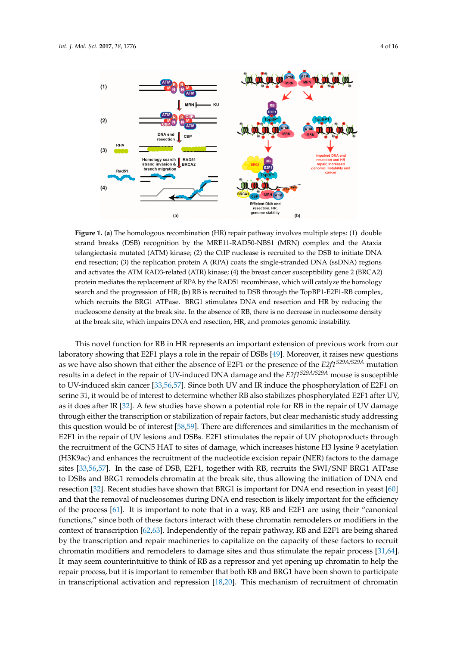<span id="page-3-0"></span>

Figure 1. (a) The homologous recombination (HR) repair pathway involves multiple steps: (1) double strand breaks (DSB) recognition by the MRE11-RAD50-NBS1 (MRN) complex and the Ataxia strand breaks (DSB) recognition by the MRE11-RAD50-NBS1 (MRN) complex and the Ataxia telangiectasia mutated (ATM) kinase; (2) the CtIP nuclease is recruited to the DSB to initiate DNA end resection; (3) the replication protein A (RPA) coats the single-stranded DNA (ssDNA) regions activates the ATM RAD3-related (ATR) kinase; (4) the breast cancer susceptibility gene 2 (BRCA2) and activates the ATM RAD3-related (ATR) kinase; (4) the breast cancer susceptibility gene 2 (BRCA2) protein mediates the replacement of RPA by the RAD51 recombinase, which will catalyze the protein mediates the replacement of RPA by the RAD51 recombinase, which will catalyze the homology homology search and the progression of HR; (**b**) RB is recruited to DSB through the TopBP1-E2F1-RB search and the progression of HR; (**b**) RB is recruited to DSB through the TopBP1-E2F1-RB complex, which recruits the BRG1 ATPase. BRG1 stimulates DNA end resection and HR by reducing the nucleosome density at the break site. In the absence of RB, there is no decrease in nucleosome density at the break site, which impairs DNA end resection, HR, and promotes genomic instability.

This novel function for RB in HR represents an important extension of previous work from our laboratory showing that E2F1 plays a role in the repair of DSBs [\[49\]](#page-12-1). Moreover, it raises new questions as we have also shown that either the absence of E2F1 or the presence of the *E2f1S29A/S29A* mutation results in a defect in the repair of UV-induced DNA damage and the *E2f1S29A/S29A* mouse is susceptible to UV-induced skin cancer [\[33,](#page-11-8)[56,](#page-12-7)[57\]](#page-12-8). Since both UV and IR induce the phosphorylation of E2F1 on serine 31, it would be of interest to determine whether RB also stabilizes phosphorylated E2F1 after UV, as it does after IR [\[32\]](#page-11-23). A few studies have shown a potential role for RB in the repair of UV damage through either the transcription or stabilization of repair factors, but clear mechanistic study addressing this question would be of interest [\[58](#page-12-9)[,59\]](#page-12-10). There are differences and similarities in the mechanism of E2F1 in the repair of UV lesions and DSBs. E2F1 stimulates the repair of UV photoproducts through the recruitment of the GCN5 HAT to sites of damage, which increases histone H3 lysine 9 acetylation (H3K9ac) and enhances the recruitment of the nucleotide excision repair (NER) factors to the damage sites [\[33,](#page-11-8)[56,](#page-12-7)[57\]](#page-12-8). In the case of DSB, E2F1, together with RB, recruits the SWI/SNF BRG1 ATPase to DSBs and BRG1 remodels chromatin at the break site, thus allowing the initiation of DNA end resection [\[32\]](#page-11-23). Recent studies have shown that BRG1 is important for DNA end resection in yeast [\[60\]](#page-12-11) and that the removal of nucleosomes during DNA end resection is likely important for the efficiency of the process [\[61\]](#page-12-12). It is important to note that in a way, RB and E2F1 are using their "canonical functions," since both of these factors interact with these chromatin remodelers or modifiers in the context of transcription [\[62,](#page-12-13)[63\]](#page-12-14). Independently of the repair pathway, RB and E2F1 are being shared by the transcription and repair machineries to capitalize on the capacity of these factors to recruit chromatin modifiers and remodelers to damage sites and thus stimulate the repair process [\[31,](#page-11-7)[64\]](#page-12-15). It may seem counterintuitive to think of RB as a repressor and yet opening up chromatin to help the repair process, but it is important to remember that both RB and BRG1 have been shown to participate in transcriptional activation and repression [\[18,](#page-10-14)[20\]](#page-10-17). This mechanism of recruitment of chromatin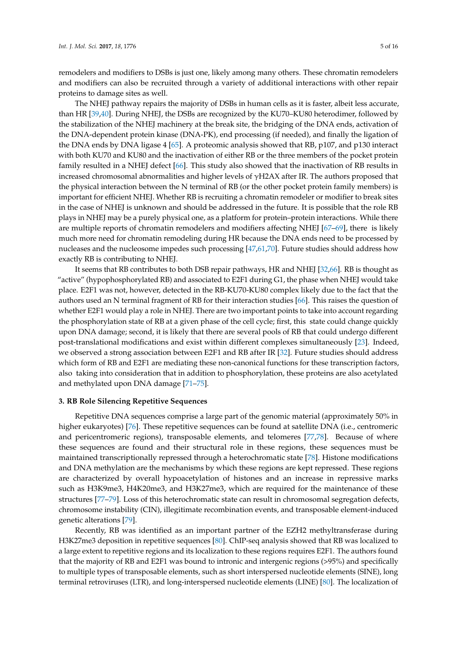remodelers and modifiers to DSBs is just one, likely among many others. These chromatin remodelers and modifiers can also be recruited through a variety of additional interactions with other repair

proteins to damage sites as well. The NHEJ pathway repairs the majority of DSBs in human cells as it is faster, albeit less accurate, than HR [\[39,](#page-11-14)[40\]](#page-11-15). During NHEJ, the DSBs are recognized by the KU70–KU80 heterodimer, followed by the stabilization of the NHEJ machinery at the break site, the bridging of the DNA ends, activation of the DNA-dependent protein kinase (DNA-PK), end processing (if needed), and finally the ligation of the DNA ends by DNA ligase 4 [\[65\]](#page-12-16). A proteomic analysis showed that RB, p107, and p130 interact with both KU70 and KU80 and the inactivation of either RB or the three members of the pocket protein family resulted in a NHEJ defect [\[66\]](#page-12-17). This study also showed that the inactivation of RB results in increased chromosomal abnormalities and higher levels of γH2AX after IR. The authors proposed that the physical interaction between the N terminal of RB (or the other pocket protein family members) is important for efficient NHEJ. Whether RB is recruiting a chromatin remodeler or modifier to break sites in the case of NHEJ is unknown and should be addressed in the future. It is possible that the role RB plays in NHEJ may be a purely physical one, as a platform for protein–protein interactions. While there are multiple reports of chromatin remodelers and modifiers affecting NHEJ [\[67](#page-12-18)[–69\]](#page-13-0), there is likely much more need for chromatin remodeling during HR because the DNA ends need to be processed by nucleases and the nucleosome impedes such processing [\[47](#page-11-22)[,61,](#page-12-12)[70\]](#page-13-1). Future studies should address how exactly RB is contributing to NHEJ.

It seems that RB contributes to both DSB repair pathways, HR and NHEJ [\[32](#page-11-23)[,66\]](#page-12-17). RB is thought as "active" (hypophosphorylated RB) and associated to E2F1 during G1, the phase when NHEJ would take place. E2F1 was not, however, detected in the RB-KU70-KU80 complex likely due to the fact that the authors used an N terminal fragment of RB for their interaction studies [\[66\]](#page-12-17). This raises the question of whether E2F1 would play a role in NHEJ. There are two important points to take into account regarding the phosphorylation state of RB at a given phase of the cell cycle; first, this state could change quickly upon DNA damage; second, it is likely that there are several pools of RB that could undergo different post-translational modifications and exist within different complexes simultaneously [\[23\]](#page-11-0). Indeed, we observed a strong association between E2F1 and RB after IR [\[32\]](#page-11-23). Future studies should address which form of RB and E2F1 are mediating these non-canonical functions for these transcription factors, also taking into consideration that in addition to phosphorylation, these proteins are also acetylated and methylated upon DNA damage [\[71](#page-13-2)[–75\]](#page-13-3).

#### **3. RB Role Silencing Repetitive Sequences**

Repetitive DNA sequences comprise a large part of the genomic material (approximately 50% in higher eukaryotes) [\[76\]](#page-13-4). These repetitive sequences can be found at satellite DNA (i.e., centromeric and pericentromeric regions), transposable elements, and telomeres [\[77,](#page-13-5)[78\]](#page-13-6). Because of where these sequences are found and their structural role in these regions, these sequences must be maintained transcriptionally repressed through a heterochromatic state [\[78\]](#page-13-6). Histone modifications and DNA methylation are the mechanisms by which these regions are kept repressed. These regions are characterized by overall hypoacetylation of histones and an increase in repressive marks such as H3K9me3, H4K20me3, and H3K27me3, which are required for the maintenance of these structures [\[77–](#page-13-5)[79\]](#page-13-7). Loss of this heterochromatic state can result in chromosomal segregation defects, chromosome instability (CIN), illegitimate recombination events, and transposable element-induced genetic alterations [\[79\]](#page-13-7).

Recently, RB was identified as an important partner of the EZH2 methyltransferase during H3K27me3 deposition in repetitive sequences [\[80\]](#page-13-8). ChIP-seq analysis showed that RB was localized to a large extent to repetitive regions and its localization to these regions requires E2F1. The authors found that the majority of RB and E2F1 was bound to intronic and intergenic regions (>95%) and specifically to multiple types of transposable elements, such as short interspersed nucleotide elements (SINE), long terminal retroviruses (LTR), and long-interspersed nucleotide elements (LINE) [\[80\]](#page-13-8). The localization of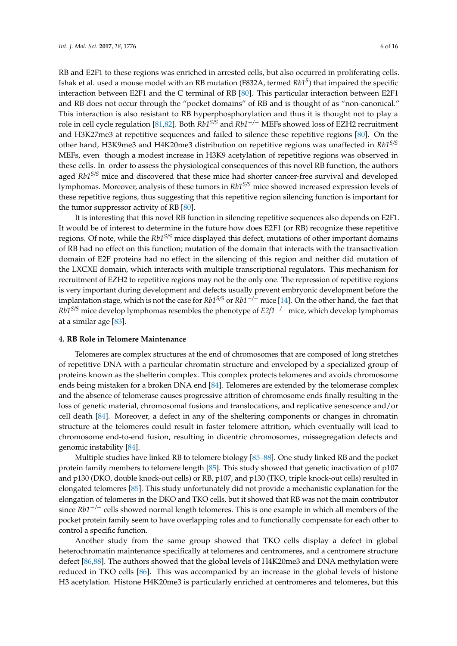RB and E2F1 to these regions was enriched in arrested cells, but also occurred in proliferating cells. Ishak et al. used a mouse model with an RB mutation (F832A, termed *Rb1<sup>S</sup>* ) that impaired the specific interaction between E2F1 and the C terminal of RB [\[80\]](#page-13-8). This particular interaction between E2F1 and RB does not occur through the "pocket domains" of RB and is thought of as "non-canonical." This interaction is also resistant to RB hyperphosphorylation and thus it is thought not to play a role in cell cycle regulation [\[81](#page-13-9)[,82\]](#page-13-10). Both *Rb1S/S* and *Rb1*−*/*<sup>−</sup> MEFs showed loss of EZH2 recruitment and H3K27me3 at repetitive sequences and failed to silence these repetitive regions [\[80\]](#page-13-8). On the other hand, H3K9me3 and H4K20me3 distribution on repetitive regions was unaffected in *Rb1S/S* MEFs, even though a modest increase in H3K9 acetylation of repetitive regions was observed in these cells. In order to assess the physiological consequences of this novel RB function, the authors aged *Rb1S/S* mice and discovered that these mice had shorter cancer-free survival and developed lymphomas. Moreover, analysis of these tumors in *Rb1S/S* mice showed increased expression levels of these repetitive regions, thus suggesting that this repetitive region silencing function is important for the tumor suppressor activity of RB [\[80\]](#page-13-8).

It is interesting that this novel RB function in silencing repetitive sequences also depends on E2F1. It would be of interest to determine in the future how does E2F1 (or RB) recognize these repetitive regions. Of note, while the *Rb1S/S* mice displayed this defect, mutations of other important domains of RB had no effect on this function; mutation of the domain that interacts with the transactivation domain of E2F proteins had no effect in the silencing of this region and neither did mutation of the LXCXE domain, which interacts with multiple transcriptional regulators. This mechanism for recruitment of EZH2 to repetitive regions may not be the only one. The repression of repetitive regions is very important during development and defects usually prevent embryonic development before the implantation stage, which is not the case for *Rb1S/S* or *Rb1*−*/*<sup>−</sup> mice [\[14\]](#page-10-11). On the other hand, the fact that *Rb1S/S* mice develop lymphomas resembles the phenotype of *E2f1*−*/*<sup>−</sup> mice, which develop lymphomas at a similar age [\[83\]](#page-13-11).

#### **4. RB Role in Telomere Maintenance**

Telomeres are complex structures at the end of chromosomes that are composed of long stretches of repetitive DNA with a particular chromatin structure and enveloped by a specialized group of proteins known as the shelterin complex. This complex protects telomeres and avoids chromosome ends being mistaken for a broken DNA end [\[84\]](#page-13-12). Telomeres are extended by the telomerase complex and the absence of telomerase causes progressive attrition of chromosome ends finally resulting in the loss of genetic material, chromosomal fusions and translocations, and replicative senescence and/or cell death [\[84\]](#page-13-12). Moreover, a defect in any of the sheltering components or changes in chromatin structure at the telomeres could result in faster telomere attrition, which eventually will lead to chromosome end-to-end fusion, resulting in dicentric chromosomes, missegregation defects and genomic instability [\[84\]](#page-13-12).

Multiple studies have linked RB to telomere biology [\[85–](#page-13-13)[88\]](#page-13-14). One study linked RB and the pocket protein family members to telomere length [\[85\]](#page-13-13). This study showed that genetic inactivation of p107 and p130 (DKO, double knock-out cells) or RB, p107, and p130 (TKO, triple knock-out cells) resulted in elongated telomeres [\[85\]](#page-13-13). This study unfortunately did not provide a mechanistic explanation for the elongation of telomeres in the DKO and TKO cells, but it showed that RB was not the main contributor since *Rb1*−*/*<sup>−</sup> cells showed normal length telomeres. This is one example in which all members of the pocket protein family seem to have overlapping roles and to functionally compensate for each other to control a specific function.

Another study from the same group showed that TKO cells display a defect in global heterochromatin maintenance specifically at telomeres and centromeres, and a centromere structure defect [\[86](#page-13-15)[,88\]](#page-13-14). The authors showed that the global levels of H4K20me3 and DNA methylation were reduced in TKO cells [\[86\]](#page-13-15). This was accompanied by an increase in the global levels of histone H3 acetylation. Histone H4K20me3 is particularly enriched at centromeres and telomeres, but this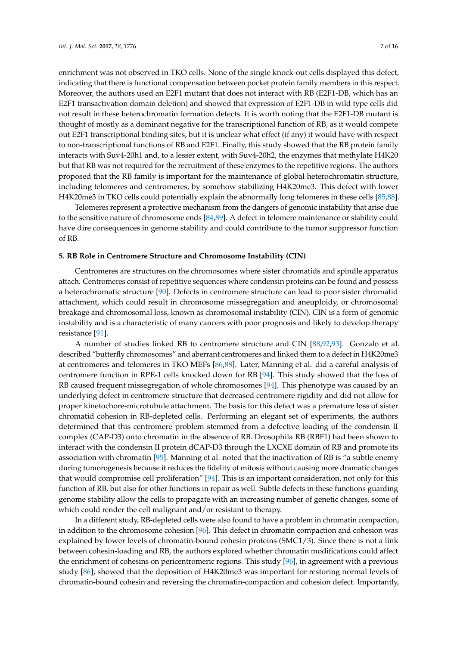enrichment was not observed in TKO cells. None of the single knock-out cells displayed this defect, indicating that there is functional compensation between pocket protein family members in this respect. Moreover, the authors used an E2F1 mutant that does not interact with RB (E2F1-DB, which has an E2F1 transactivation domain deletion) and showed that expression of E2F1-DB in wild type cells did not result in these heterochromatin formation defects. It is worth noting that the E2F1-DB mutant is thought of mostly as a dominant negative for the transcriptional function of RB, as it would compete out E2F1 transcriptional binding sites, but it is unclear what effect (if any) it would have with respect to non-transcriptional functions of RB and E2F1. Finally, this study showed that the RB protein family interacts with Suv4-20h1 and, to a lesser extent, with Suv4-20h2, the enzymes that methylate H4K20 but that RB was not required for the recruitment of these enzymes to the repetitive regions. The authors proposed that the RB family is important for the maintenance of global heterochromatin structure, including telomeres and centromeres, by somehow stabilizing H4K20me3. This defect with lower H4K20me3 in TKO cells could potentially explain the abnormally long telomeres in these cells [\[85](#page-13-13)[,88\]](#page-13-14).

Telomeres represent a protective mechanism from the dangers of genomic instability that arise due to the sensitive nature of chromosome ends [\[84](#page-13-12)[,89\]](#page-13-16). A defect in telomere maintenance or stability could have dire consequences in genome stability and could contribute to the tumor suppressor function of RB.

# **5. RB Role in Centromere Structure and Chromosome Instability (CIN)**

Centromeres are structures on the chromosomes where sister chromatids and spindle apparatus attach. Centromeres consist of repetitive sequences where condensin proteins can be found and possess a heterochromatic structure [\[90\]](#page-14-0). Defects in centromere structure can lead to poor sister chromatid attachment, which could result in chromosome missegregation and aneuploidy, or chromosomal breakage and chromosomal loss, known as chromosomal instability (CIN). CIN is a form of genomic instability and is a characteristic of many cancers with poor prognosis and likely to develop therapy resistance [\[91\]](#page-14-1).

A number of studies linked RB to centromere structure and CIN [\[88](#page-13-14)[,92](#page-14-2)[,93\]](#page-14-3). Gonzalo et al. described "butterfly chromosomes" and aberrant centromeres and linked them to a defect in H4K20me3 at centromeres and telomeres in TKO MEFs [\[86,](#page-13-15)[88\]](#page-13-14). Later, Manning et al. did a careful analysis of centromere function in RPE-1 cells knocked down for RB [\[94\]](#page-14-4). This study showed that the loss of RB caused frequent missegregation of whole chromosomes [\[94\]](#page-14-4). This phenotype was caused by an underlying defect in centromere structure that decreased centromere rigidity and did not allow for proper kinetochore-microtubule attachment. The basis for this defect was a premature loss of sister chromatid cohesion in RB-depleted cells. Performing an elegant set of experiments, the authors determined that this centromere problem stemmed from a defective loading of the condensin II complex (CAP-D3) onto chromatin in the absence of RB. Drosophila RB (RBF1) had been shown to interact with the condensin II protein dCAP-D3 through the LXCXE domain of RB and promote its association with chromatin [\[95\]](#page-14-5). Manning et al. noted that the inactivation of RB is "a subtle enemy during tumorogenesis because it reduces the fidelity of mitosis without causing more dramatic changes that would compromise cell proliferation" [\[94\]](#page-14-4). This is an important consideration, not only for this function of RB, but also for other functions in repair as well. Subtle defects in these functions guarding genome stability allow the cells to propagate with an increasing number of genetic changes, some of which could render the cell malignant and/or resistant to therapy.

In a different study, RB-depleted cells were also found to have a problem in chromatin compaction, in addition to the chromosome cohesion [\[96\]](#page-14-6). This defect in chromatin compaction and cohesion was explained by lower levels of chromatin-bound cohesin proteins (SMC1/3). Since there is not a link between cohesin-loading and RB, the authors explored whether chromatin modifications could affect the enrichment of cohesins on pericentromeric regions. This study [\[96\]](#page-14-6), in agreement with a previous study [\[86\]](#page-13-15), showed that the deposition of H4K20me3 was important for restoring normal levels of chromatin-bound cohesin and reversing the chromatin-compaction and cohesion defect. Importantly,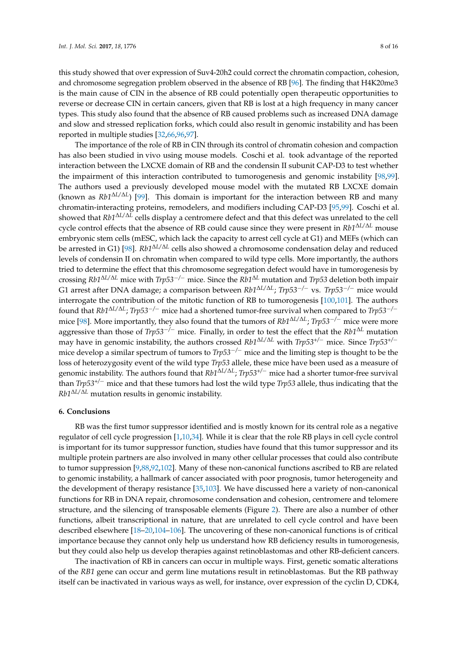this study showed that over expression of Suv4-20h2 could correct the chromatin compaction, cohesion, and chromosome segregation problem observed in the absence of RB [\[96\]](#page-14-6). The finding that H4K20me3 is the main cause of CIN in the absence of RB could potentially open therapeutic opportunities to reverse or decrease CIN in certain cancers, given that RB is lost at a high frequency in many cancer types. This study also found that the absence of RB caused problems such as increased DNA damage and slow and stressed replication forks, which could also result in genomic instability and has been reported in multiple studies [\[32](#page-11-23)[,66](#page-12-17)[,96](#page-14-6)[,97\]](#page-14-7).

The importance of the role of RB in CIN through its control of chromatin cohesion and compaction has also been studied in vivo using mouse models. Coschi et al. took advantage of the reported interaction between the LXCXE domain of RB and the condensin II subunit CAP-D3 to test whether the impairment of this interaction contributed to tumorogenesis and genomic instability [\[98,](#page-14-8)[99\]](#page-14-9). The authors used a previously developed mouse model with the mutated RB LXCXE domain (known as *Rb1*∆*L/* <sup>∆</sup>*<sup>L</sup>* ) [\[99\]](#page-14-9). This domain is important for the interaction between RB and many chromatin-interacting proteins, remodelers, and modifiers including CAP-D3 [\[95](#page-14-5)[,99\]](#page-14-9). Coschi et al. showed that *Rb1*∆*L/* <sup>∆</sup>*<sup>L</sup>* cells display a centromere defect and that this defect was unrelated to the cell cycle control effects that the absence of RB could cause since they were present in *Rb1*∆*L/* <sup>∆</sup>*<sup>L</sup>* mouse embryonic stem cells (mESC, which lack the capacity to arrest cell cycle at G1) and MEFs (which can be arrested in G1) [\[98\]](#page-14-8). *Rb1<sup>∆L/∆L</sup>* cells also showed a chromosome condensation delay and reduced levels of condensin II on chromatin when compared to wild type cells. More importantly, the authors tried to determine the effect that this chromosome segregation defect would have in tumorogenesis by crossing *Rb1*∆*L/* <sup>∆</sup>*<sup>L</sup>* mice with *Trp53*−*/*<sup>−</sup> mice. Since the *Rb1*∆*<sup>L</sup>* mutation and *Trp53* deletion both impair G1 arrest after DNA damage; a comparison between *Rb1*∆*L/* <sup>∆</sup>*<sup>L</sup>* ; *Trp53*−*/*<sup>−</sup> vs. *Trp53*−*/*<sup>−</sup> mice would interrogate the contribution of the mitotic function of RB to tumorogenesis [\[100](#page-14-10)[,101\]](#page-14-11). The authors found that *Rb1*∆*L/* <sup>∆</sup>*<sup>L</sup>* ; *Trp53*−*/*<sup>−</sup> mice had a shortened tumor-free survival when compared to *Trp53*−*/*<sup>−</sup> mice [\[98\]](#page-14-8). More importantly, they also found that the tumors of *Rb1*∆*L/* <sup>∆</sup>*<sup>L</sup>* ; *Trp53*−*/*<sup>−</sup> mice were more aggressive than those of *Trp53*−*/*<sup>−</sup> mice. Finally, in order to test the effect that the *Rb1*∆*<sup>L</sup>* mutation may have in genomic instability, the authors crossed *Rb1*∆*L/* <sup>∆</sup>*<sup>L</sup>* with *Trp53+/*<sup>−</sup> mice. Since *Trp53+/*<sup>−</sup> mice develop a similar spectrum of tumors to *Trp53*−*/*<sup>−</sup> mice and the limiting step is thought to be the loss of heterozygosity event of the wild type *Trp53* allele, these mice have been used as a measure of genomic instability. The authors found that *Rb1*∆*L/* <sup>∆</sup>*<sup>L</sup>* ; *Trp53+/*<sup>−</sup> mice had a shorter tumor-free survival than *Trp53+/*<sup>−</sup> mice and that these tumors had lost the wild type *Trp53* allele, thus indicating that the *Rb1*∆*L/* <sup>∆</sup>*<sup>L</sup>* mutation results in genomic instability.

# **6. Conclusions**

RB was the first tumor suppressor identified and is mostly known for its central role as a negative regulator of cell cycle progression [\[1,](#page-10-0)[10,](#page-10-7)[34\]](#page-11-9). While it is clear that the role RB plays in cell cycle control is important for its tumor suppressor function, studies have found that this tumor suppressor and its multiple protein partners are also involved in many other cellular processes that could also contribute to tumor suppression [\[9](#page-10-6)[,88](#page-13-14)[,92](#page-14-2)[,102\]](#page-14-12). Many of these non-canonical functions ascribed to RB are related to genomic instability, a hallmark of cancer associated with poor prognosis, tumor heterogeneity and the development of therapy resistance [\[35](#page-11-10)[,103\]](#page-14-13). We have discussed here a variety of non-canonical functions for RB in DNA repair, chromosome condensation and cohesion, centromere and telomere structure, and the silencing of transposable elements (Figure [2\)](#page-8-0). There are also a number of other functions, albeit transcriptional in nature, that are unrelated to cell cycle control and have been described elsewhere [\[18–](#page-10-14)[20,](#page-10-17)[104](#page-14-14)[–106\]](#page-14-15). The uncovering of these non-canonical functions is of critical importance because they cannot only help us understand how RB deficiency results in tumorogenesis, but they could also help us develop therapies against retinoblastomas and other RB-deficient cancers.

The inactivation of RB in cancers can occur in multiple ways. First, genetic somatic alterations of the *RB1* gene can occur and germ line mutations result in retinoblastomas. But the RB pathway itself can be inactivated in various ways as well, for instance, over expression of the cyclin D, CDK4,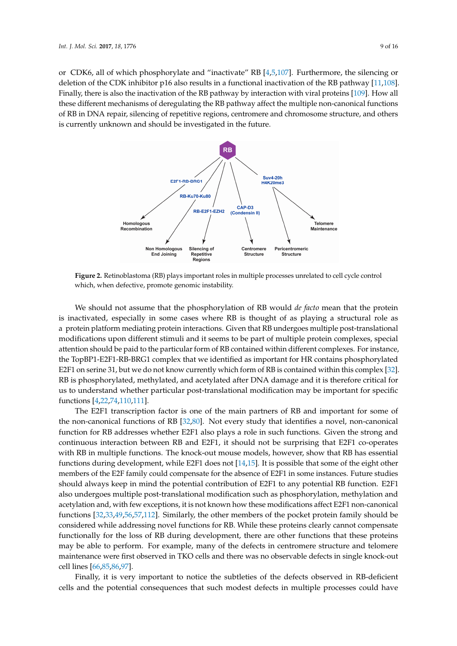or CDK6, all of which phosphorylate and "inactivate" RB [\[4](#page-10-2)[,5](#page-10-18)[,107\]](#page-14-16). Furthermore, the silencing or deletion of the CDK inhibitor p16 also results in a functional inactivation of the RB pathway [\[11](#page-10-8)[,108\]](#page-14-17). Finally, there is also the inactivation of the RB pathway by interaction with viral proteins [\[109\]](#page-14-18). How all these different mechanisms of deregulating the RB pathway affect the multiple non-canonical functions of RB in DNA repair, silencing of repetitive regions, centromere and chromosome structure, and others is currently unknown and should be investigated in the future.

<span id="page-8-0"></span>

**Figure 2.** Retinoblastoma (RB) plays important roles in multiple processes unrelated to cell cycle **Figure 2.** Retinoblastoma (RB) plays important roles in multiple processes unrelated to cell cycle control which, when defective, promote genomic instability.

inactivated, especially in some cases where RB is thought of as playing a structural role as a protein We should not assume that the phosphorylation of RB would *de facto* mean that the protein is inactivated, especially in some cases where RB is thought of as playing a structural role as a protein platform mediating protein interactions. Given that RB undergoes multiple post-translational modifications upon different stimuli and it seems to be part of multiple protein complexes, special phosphorylated E2F1 on sering  $\mathcal{L}$  on sering  $\mathcal{L}$  is contained for RB is contained for RB is contained for RB is contained for RB is contained for RB is contained for RB is contained for RB is contained for RB is attention should be paid to the particular form of RB contained within different complexes. For instance, the TopBP1-E2F1-RB-BRG1 complex that we identified as important for HR contains phosphorylated E2F1 on serine 31, but we do not know currently which form of RB is contained within this complex [\[32\]](#page-11-23). RB is phosphorylated, methylated, and acetylated after DNA damage and it is therefore critical for  $f^{32}$  functions of  $R$   $\bar{3}$ . Note that is that if  $\bar{3}$  is non-canonical function for  $R$ us to understand whether particular post-translational modification may be important for specific functions  $[4, 22, 74, 110, 111]$  $[4, 22, 74, 110, 111]$ .

The E2F1 transcription factor is one of the main partners of RB and important for some of the non-canonical functions of RB [\[32](#page-11-23)[,80\]](#page-13-8). Not every study that identifies a novel, non-canonical  $\frac{1}{\sqrt{2}}$  in some instances. Future studies showledge in mind the studies showledge in mind the studies showledge in mind the studies showledge in mind the studies of  $\alpha$ function for RB addresses whether E2F1 also plays a role in such functions. Given the strong and continuous interaction between RB and E2F1, it should not be surprising that E2F1 co-operates with RB in multiple functions. The knock-out mouse models, however, show that RB has essential functions during development, while E2F1 does not [\[14](#page-10-11)[,15\]](#page-10-12). It is possible that some of the eight other while addressing novel functions for  $\mathbb{R}^2$ . While these proteins cannot compensate functionally cannot compensate functionally cannot compute functionally cannot compute functionally cannot compute functionally canno members of the E2F family could compensate for the absence of E2F1 in some instances. Future studies should always keep in mind the potential contribution of E2F1 to any potential RB function. E2F1 also undergoes multiple post-translational modification such as phosphorylation, methylation and  $\frac{1}{2}$  with four examples it is not known how these modifications of the E2E1 per acetylation and, with few exceptions, it is not known how these modifications affect E2F1 non-canonical<br>Activities are as the set of the such a strike in the set of the set of the set of the set of the set of the s functions [\[32,](#page-11-23)[33,](#page-11-8)[49,](#page-12-1)[56,](#page-12-7)[57,](#page-12-8)[112\]](#page-15-0). Similarly, the other members of the pocket protein family should be considered while addressing novel functions for RB. While these proteins clearly cannot compensate functionally for the loss of RB during development, there are other functions that these proteins  $\frac{1}{2}$  to perform. For example, many of the defects in contromore structure and may be able to perform. For example, many of the defects in centromere structure and telomere maintenance were first observed in TKO cells and there was no observable defects in single knock-out to the rapy resistance. It is also important to recognize that the contract to recognize that the contract on  $\epsilon$ 

Finally, it is very important to notice the subtleties of the defects observed in RB-deficient cells and the potential consequences that such modest defects in multiple processes could have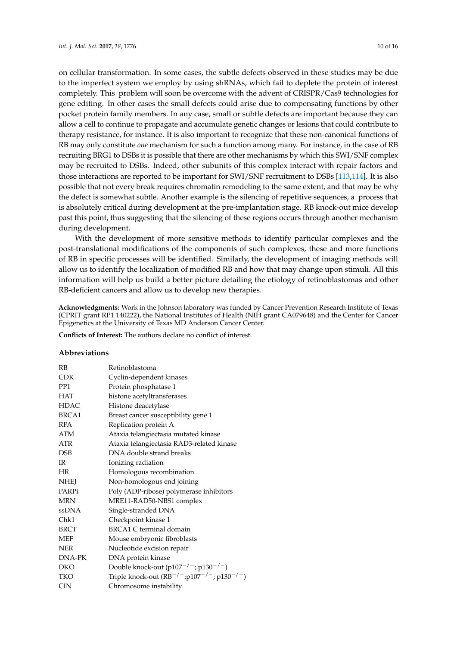on cellular transformation. In some cases, the subtle defects observed in these studies may be due to the imperfect system we employ by using shRNAs, which fail to deplete the protein of interest completely. This problem will soon be overcome with the advent of CRISPR/Cas9 technologies for gene editing. In other cases the small defects could arise due to compensating functions by other pocket protein family members. In any case, small or subtle defects are important because they can allow a cell to continue to propagate and accumulate genetic changes or lesions that could contribute to therapy resistance, for instance. It is also important to recognize that these non-canonical functions of RB may only constitute *one* mechanism for such a function among many. For instance, in the case of RB recruiting BRG1 to DSBs it is possible that there are other mechanisms by which this SWI/SNF complex may be recruited to DSBs. Indeed, other subunits of this complex interact with repair factors and those interactions are reported to be important for SWI/SNF recruitment to DSBs [\[113](#page-15-1)[,114\]](#page-15-2). It is also possible that not every break requires chromatin remodeling to the same extent, and that may be why the defect is somewhat subtle. Another example is the silencing of repetitive sequences, a process that is absolutely critical during development at the pre-implantation stage. RB knock-out mice develop past this point, thus suggesting that the silencing of these regions occurs through another mechanism during development.

With the development of more sensitive methods to identify particular complexes and the post-translational modifications of the components of such complexes, these and more functions of RB in specific processes will be identified. Similarly, the development of imaging methods will allow us to identify the localization of modified RB and how that may change upon stimuli. All this information will help us build a better picture detailing the etiology of retinoblastomas and other RB-deficient cancers and allow us to develop new therapies.

**Acknowledgments:** Work in the Johnson laboratory was funded by Cancer Prevention Research Institute of Texas (CPRIT grant RP1 140222), the National Institutes of Health (NIH grant CA079648) and the Center for Cancer Epigenetics at the University of Texas MD Anderson Cancer Center.

**Conflicts of Interest:** The authors declare no conflict of interest.

# **Abbreviations**

| <b>RB</b>       | Retinoblastoma                                                                  |
|-----------------|---------------------------------------------------------------------------------|
| <b>CDK</b>      | Cyclin-dependent kinases                                                        |
| PP <sub>1</sub> | Protein phosphatase 1                                                           |
| <b>HAT</b>      | histone acetyltransferases                                                      |
| <b>HDAC</b>     | Histone deacetylase                                                             |
| BRCA1           | Breast cancer susceptibility gene 1                                             |
| <b>RPA</b>      | Replication protein A                                                           |
| <b>ATM</b>      | Ataxia telangiectasia mutated kinase                                            |
| <b>ATR</b>      | Ataxia telangiectasia RAD3-related kinase                                       |
| <b>DSB</b>      | DNA double strand breaks                                                        |
| IR.             | Ionizing radiation                                                              |
| <b>HR</b>       | Homologous recombination                                                        |
| <b>NHEJ</b>     | Non-homologous end joining                                                      |
| PARPi           | Poly (ADP-ribose) polymerase inhibitors                                         |
| <b>MRN</b>      | MRE11-RAD50-NBS1 complex                                                        |
| ssDNA           | Single-stranded DNA                                                             |
| Chk1            | Checkpoint kinase 1                                                             |
| <b>BRCT</b>     | BRCA1 C terminal domain                                                         |
| <b>MEF</b>      | Mouse embryonic fibroblasts                                                     |
| <b>NER</b>      | Nucleotide excision repair                                                      |
| DNA-PK          | DNA protein kinase                                                              |
| DKO             | Double knock-out (p $107^{-/-}$ ; p $130^{-/-}$ )                               |
| TKO             | Triple knock-out (RB <sup>-/-</sup> ;p107 <sup>-/-</sup> ;p130 <sup>-/-</sup> ) |
| <b>CIN</b>      | Chromosome instability                                                          |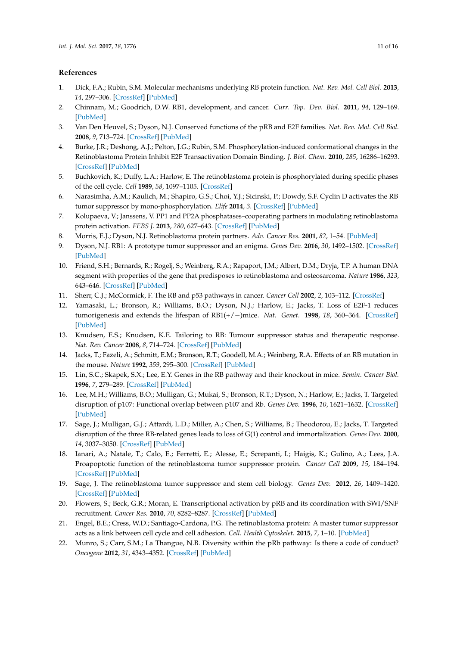# **References**

- <span id="page-10-0"></span>1. Dick, F.A.; Rubin, S.M. Molecular mechanisms underlying RB protein function. *Nat. Rev. Mol. Cell Biol.* **2013**, *14*, 297–306. [\[CrossRef\]](http://dx.doi.org/10.1038/nrm3567) [\[PubMed\]](http://www.ncbi.nlm.nih.gov/pubmed/23594950)
- 2. Chinnam, M.; Goodrich, D.W. RB1, development, and cancer. *Curr. Top. Dev. Biol.* **2011**, *94*, 129–169. [\[PubMed\]](http://www.ncbi.nlm.nih.gov/pubmed/21295686)
- <span id="page-10-1"></span>3. Van Den Heuvel, S.; Dyson, N.J. Conserved functions of the pRB and E2F families. *Nat. Rev. Mol. Cell Biol.* **2008**, *9*, 713–724. [\[CrossRef\]](http://dx.doi.org/10.1038/nrm2469) [\[PubMed\]](http://www.ncbi.nlm.nih.gov/pubmed/18719710)
- <span id="page-10-2"></span>4. Burke, J.R.; Deshong, A.J.; Pelton, J.G.; Rubin, S.M. Phosphorylation-induced conformational changes in the Retinoblastoma Protein Inhibit E2F Transactivation Domain Binding. *J. Biol. Chem.* **2010**, *285*, 16286–16293. [\[CrossRef\]](http://dx.doi.org/10.1074/jbc.M110.108167) [\[PubMed\]](http://www.ncbi.nlm.nih.gov/pubmed/20223825)
- <span id="page-10-18"></span>5. Buchkovich, K.; Duffy, L.A.; Harlow, E. The retinoblastoma protein is phosphorylated during specific phases of the cell cycle. *Cell* **1989**, *58*, 1097–1105. [\[CrossRef\]](http://dx.doi.org/10.1016/0092-8674(89)90508-4)
- <span id="page-10-3"></span>6. Narasimha, A.M.; Kaulich, M.; Shapiro, G.S.; Choi, Y.J.; Sicinski, P.; Dowdy, S.F. Cyclin D activates the RB tumor suppressor by mono-phosphorylation. *Elife* **2014**, *3*. [\[CrossRef\]](http://dx.doi.org/10.7554/eLife.02872) [\[PubMed\]](http://www.ncbi.nlm.nih.gov/pubmed/24876129)
- <span id="page-10-4"></span>7. Kolupaeva, V.; Janssens, V. PP1 and PP2A phosphatases–cooperating partners in modulating retinoblastoma protein activation. *FEBS J.* **2013**, *280*, 627–643. [\[CrossRef\]](http://dx.doi.org/10.1111/j.1742-4658.2012.08511.x) [\[PubMed\]](http://www.ncbi.nlm.nih.gov/pubmed/22299668)
- <span id="page-10-5"></span>8. Morris, E.J.; Dyson, N.J. Retinoblastoma protein partners. *Adv. Cancer Res.* **2001**, *82*, 1–54. [\[PubMed\]](http://www.ncbi.nlm.nih.gov/pubmed/11447760)
- <span id="page-10-6"></span>9. Dyson, N.J. RB1: A prototype tumor suppressor and an enigma. *Genes Dev.* **2016**, *30*, 1492–1502. [\[CrossRef\]](http://dx.doi.org/10.1101/gad.282145.116) [\[PubMed\]](http://www.ncbi.nlm.nih.gov/pubmed/27401552)
- <span id="page-10-7"></span>10. Friend, S.H.; Bernards, R.; Rogelj, S.; Weinberg, R.A.; Rapaport, J.M.; Albert, D.M.; Dryja, T.P. A human DNA segment with properties of the gene that predisposes to retinoblastoma and osteosarcoma. *Nature* **1986**, *323*, 643–646. [\[CrossRef\]](http://dx.doi.org/10.1038/323643a0) [\[PubMed\]](http://www.ncbi.nlm.nih.gov/pubmed/2877398)
- <span id="page-10-8"></span>11. Sherr, C.J.; McCormick, F. The RB and p53 pathways in cancer. *Cancer Cell* **2002**, *2*, 103–112. [\[CrossRef\]](http://dx.doi.org/10.1016/S1535-6108(02)00102-2)
- <span id="page-10-9"></span>Yamasaki, L.; Bronson, R.; Williams, B.O.; Dyson, N.J.; Harlow, E.; Jacks, T. Loss of E2F-1 reduces tumorigenesis and extends the lifespan of RB1(+/−)mice. *Nat. Genet.* **1998**, *18*, 360–364. [\[CrossRef\]](http://dx.doi.org/10.1038/ng0498-360) [\[PubMed\]](http://www.ncbi.nlm.nih.gov/pubmed/9537419)
- <span id="page-10-10"></span>13. Knudsen, E.S.; Knudsen, K.E. Tailoring to RB: Tumour suppressor status and therapeutic response. *Nat. Rev. Cancer* **2008**, *8*, 714–724. [\[CrossRef\]](http://dx.doi.org/10.1038/nrc2401) [\[PubMed\]](http://www.ncbi.nlm.nih.gov/pubmed/19143056)
- <span id="page-10-11"></span>14. Jacks, T.; Fazeli, A.; Schmitt, E.M.; Bronson, R.T.; Goodell, M.A.; Weinberg, R.A. Effects of an RB mutation in the mouse. *Nature* **1992**, *359*, 295–300. [\[CrossRef\]](http://dx.doi.org/10.1038/359295a0) [\[PubMed\]](http://www.ncbi.nlm.nih.gov/pubmed/1406933)
- <span id="page-10-12"></span>15. Lin, S.C.; Skapek, S.X.; Lee, E.Y. Genes in the RB pathway and their knockout in mice. *Semin. Cancer Biol.* **1996**, *7*, 279–289. [\[CrossRef\]](http://dx.doi.org/10.1006/scbi.1996.0036) [\[PubMed\]](http://www.ncbi.nlm.nih.gov/pubmed/9110405)
- 16. Lee, M.H.; Williams, B.O.; Mulligan, G.; Mukai, S.; Bronson, R.T.; Dyson, N.; Harlow, E.; Jacks, T. Targeted disruption of p107: Functional overlap between p107 and Rb. *Genes Dev.* **1996**, *10*, 1621–1632. [\[CrossRef\]](http://dx.doi.org/10.1101/gad.10.13.1621) [\[PubMed\]](http://www.ncbi.nlm.nih.gov/pubmed/8682293)
- <span id="page-10-13"></span>17. Sage, J.; Mulligan, G.J.; Attardi, L.D.; Miller, A.; Chen, S.; Williams, B.; Theodorou, E.; Jacks, T. Targeted disruption of the three RB-related genes leads to loss of G(1) control and immortalization. *Genes Dev.* **2000**, *14*, 3037–3050. [\[CrossRef\]](http://dx.doi.org/10.1101/gad.843200) [\[PubMed\]](http://www.ncbi.nlm.nih.gov/pubmed/11114892)
- <span id="page-10-14"></span>18. Ianari, A.; Natale, T.; Calo, E.; Ferretti, E.; Alesse, E.; Screpanti, I.; Haigis, K.; Gulino, A.; Lees, J.A. Proapoptotic function of the retinoblastoma tumor suppressor protein. *Cancer Cell* **2009**, *15*, 184–194. [\[CrossRef\]](http://dx.doi.org/10.1016/j.ccr.2009.01.026) [\[PubMed\]](http://www.ncbi.nlm.nih.gov/pubmed/19249677)
- 19. Sage, J. The retinoblastoma tumor suppressor and stem cell biology. *Genes Dev.* **2012**, *26*, 1409–1420. [\[CrossRef\]](http://dx.doi.org/10.1101/gad.193730.112) [\[PubMed\]](http://www.ncbi.nlm.nih.gov/pubmed/22751497)
- <span id="page-10-17"></span>20. Flowers, S.; Beck, G.R.; Moran, E. Transcriptional activation by pRB and its coordination with SWI/SNF recruitment. *Cancer Res.* **2010**, *70*, 8282–8287. [\[CrossRef\]](http://dx.doi.org/10.1158/0008-5472.CAN-10-2205) [\[PubMed\]](http://www.ncbi.nlm.nih.gov/pubmed/20851996)
- <span id="page-10-15"></span>21. Engel, B.E.; Cress, W.D.; Santiago-Cardona, P.G. The retinoblastoma protein: A master tumor suppressor acts as a link between cell cycle and cell adhesion. *Cell. Health Cytoskelet.* **2015**, *7*, 1–10. [\[PubMed\]](http://www.ncbi.nlm.nih.gov/pubmed/28090172)
- <span id="page-10-16"></span>22. Munro, S.; Carr, S.M.; La Thangue, N.B. Diversity within the pRb pathway: Is there a code of conduct? *Oncogene* **2012**, *31*, 4343–4352. [\[CrossRef\]](http://dx.doi.org/10.1038/onc.2011.603) [\[PubMed\]](http://www.ncbi.nlm.nih.gov/pubmed/22249267)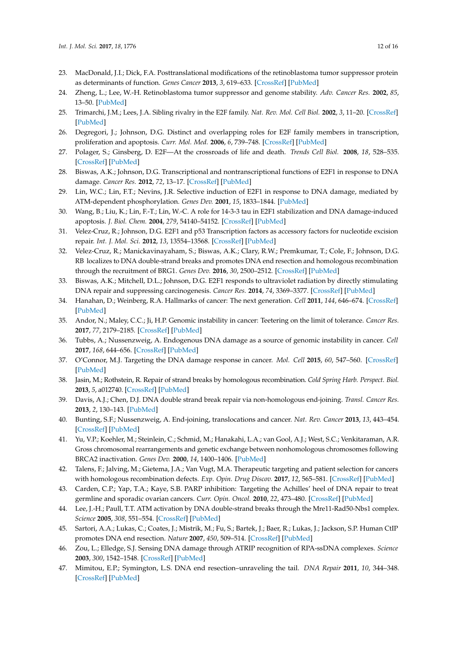- <span id="page-11-0"></span>23. MacDonald, J.I.; Dick, F.A. Posttranslational modifications of the retinoblastoma tumor suppressor protein as determinants of function. *Genes Cancer* **2013**, *3*, 619–633. [\[CrossRef\]](http://dx.doi.org/10.1177/1947601912473305) [\[PubMed\]](http://www.ncbi.nlm.nih.gov/pubmed/23634251)
- <span id="page-11-1"></span>24. Zheng, L.; Lee, W.-H. Retinoblastoma tumor suppressor and genome stability. *Adv. Cancer Res.* **2002**, *85*, 13–50. [\[PubMed\]](http://www.ncbi.nlm.nih.gov/pubmed/12374284)
- <span id="page-11-2"></span>25. Trimarchi, J.M.; Lees, J.A. Sibling rivalry in the E2F family. *Nat. Rev. Mol. Cell Biol.* **2002**, *3*, 11–20. [\[CrossRef\]](http://dx.doi.org/10.1038/nrm714) [\[PubMed\]](http://www.ncbi.nlm.nih.gov/pubmed/11823794)
- <span id="page-11-3"></span>26. Degregori, J.; Johnson, D.G. Distinct and overlapping roles for E2F family members in transcription, proliferation and apoptosis. *Curr. Mol. Med.* **2006**, *6*, 739–748. [\[CrossRef\]](http://dx.doi.org/10.2174/1566524010606070739) [\[PubMed\]](http://www.ncbi.nlm.nih.gov/pubmed/17100600)
- 27. Polager, S.; Ginsberg, D. E2F—At the crossroads of life and death. *Trends Cell Biol.* **2008**, *18*, 528–535. [\[CrossRef\]](http://dx.doi.org/10.1016/j.tcb.2008.08.003) [\[PubMed\]](http://www.ncbi.nlm.nih.gov/pubmed/18805009)
- <span id="page-11-4"></span>28. Biswas, A.K.; Johnson, D.G. Transcriptional and nontranscriptional functions of E2F1 in response to DNA damage. *Cancer Res.* **2012**, *72*, 13–17. [\[CrossRef\]](http://dx.doi.org/10.1158/0008-5472.CAN-11-2196) [\[PubMed\]](http://www.ncbi.nlm.nih.gov/pubmed/22180494)
- <span id="page-11-5"></span>29. Lin, W.C.; Lin, F.T.; Nevins, J.R. Selective induction of E2F1 in response to DNA damage, mediated by ATM-dependent phosphorylation. *Genes Dev.* **2001**, *15*, 1833–1844. [\[PubMed\]](http://www.ncbi.nlm.nih.gov/pubmed/11459832)
- <span id="page-11-6"></span>30. Wang, B.; Liu, K.; Lin, F.-T.; Lin, W.-C. A role for 14-3-3 tau in E2F1 stabilization and DNA damage-induced apoptosis. *J. Biol. Chem.* **2004**, *279*, 54140–54152. [\[CrossRef\]](http://dx.doi.org/10.1074/jbc.M410493200) [\[PubMed\]](http://www.ncbi.nlm.nih.gov/pubmed/15494392)
- <span id="page-11-7"></span>31. Velez-Cruz, R.; Johnson, D.G. E2F1 and p53 Transcription factors as accessory factors for nucleotide excision repair. *Int. J. Mol. Sci.* **2012**, *13*, 13554–13568. [\[CrossRef\]](http://dx.doi.org/10.3390/ijms131013554) [\[PubMed\]](http://www.ncbi.nlm.nih.gov/pubmed/23202967)
- <span id="page-11-23"></span>32. Velez-Cruz, R.; Manickavinayaham, S.; Biswas, A.K.; Clary, R.W.; Premkumar, T.; Cole, F.; Johnson, D.G. RB localizes to DNA double-strand breaks and promotes DNA end resection and homologous recombination through the recruitment of BRG1. *Genes Dev.* **2016**, *30*, 2500–2512. [\[CrossRef\]](http://dx.doi.org/10.1101/gad.288282.116) [\[PubMed\]](http://www.ncbi.nlm.nih.gov/pubmed/27940962)
- <span id="page-11-8"></span>33. Biswas, A.K.; Mitchell, D.L.; Johnson, D.G. E2F1 responds to ultraviolet radiation by directly stimulating DNA repair and suppressing carcinogenesis. *Cancer Res.* **2014**, *74*, 3369–3377. [\[CrossRef\]](http://dx.doi.org/10.1158/0008-5472.CAN-13-3216) [\[PubMed\]](http://www.ncbi.nlm.nih.gov/pubmed/24741006)
- <span id="page-11-9"></span>34. Hanahan, D.; Weinberg, R.A. Hallmarks of cancer: The next generation. *Cell* **2011**, *144*, 646–674. [\[CrossRef\]](http://dx.doi.org/10.1016/j.cell.2011.02.013) [\[PubMed\]](http://www.ncbi.nlm.nih.gov/pubmed/21376230)
- <span id="page-11-10"></span>35. Andor, N.; Maley, C.C.; Ji, H.P. Genomic instability in cancer: Teetering on the limit of tolerance. *Cancer Res.* **2017**, *77*, 2179–2185. [\[CrossRef\]](http://dx.doi.org/10.1158/0008-5472.CAN-16-1553) [\[PubMed\]](http://www.ncbi.nlm.nih.gov/pubmed/28432052)
- <span id="page-11-11"></span>36. Tubbs, A.; Nussenzweig, A. Endogenous DNA damage as a source of genomic instability in cancer. *Cell* **2017**, *168*, 644–656. [\[CrossRef\]](http://dx.doi.org/10.1016/j.cell.2017.01.002) [\[PubMed\]](http://www.ncbi.nlm.nih.gov/pubmed/28187286)
- <span id="page-11-12"></span>37. O'Connor, M.J. Targeting the DNA damage response in cancer. *Mol. Cell* **2015**, *60*, 547–560. [\[CrossRef\]](http://dx.doi.org/10.1016/j.molcel.2015.10.040) [\[PubMed\]](http://www.ncbi.nlm.nih.gov/pubmed/26590714)
- <span id="page-11-13"></span>38. Jasin, M.; Rothstein, R. Repair of strand breaks by homologous recombination. *Cold Spring Harb. Perspect. Biol.* **2013**, *5*, a012740. [\[CrossRef\]](http://dx.doi.org/10.1101/cshperspect.a012740) [\[PubMed\]](http://www.ncbi.nlm.nih.gov/pubmed/24097900)
- <span id="page-11-14"></span>39. Davis, A.J.; Chen, D.J. DNA double strand break repair via non-homologous end-joining. *Transl. Cancer Res.* **2013**, *2*, 130–143. [\[PubMed\]](http://www.ncbi.nlm.nih.gov/pubmed/24000320)
- <span id="page-11-15"></span>40. Bunting, S.F.; Nussenzweig, A. End-joining, translocations and cancer. *Nat. Rev. Cancer* **2013**, *13*, 443–454. [\[CrossRef\]](http://dx.doi.org/10.1038/nrc3537) [\[PubMed\]](http://www.ncbi.nlm.nih.gov/pubmed/23760025)
- <span id="page-11-16"></span>41. Yu, V.P.; Koehler, M.; Steinlein, C.; Schmid, M.; Hanakahi, L.A.; van Gool, A.J.; West, S.C.; Venkitaraman, A.R. Gross chromosomal rearrangements and genetic exchange between nonhomologous chromosomes following BRCA2 inactivation. *Genes Dev.* **2000**, *14*, 1400–1406. [\[PubMed\]](http://www.ncbi.nlm.nih.gov/pubmed/10837032)
- <span id="page-11-17"></span>42. Talens, F.; Jalving, M.; Gietema, J.A.; Van Vugt, M.A. Therapeutic targeting and patient selection for cancers with homologous recombination defects. *Exp. Opin. Drug Discov.* **2017**, *12*, 565–581. [\[CrossRef\]](http://dx.doi.org/10.1080/17460441.2017.1322061) [\[PubMed\]](http://www.ncbi.nlm.nih.gov/pubmed/28425306)
- <span id="page-11-18"></span>43. Carden, C.P.; Yap, T.A.; Kaye, S.B. PARP inhibition: Targeting the Achilles' heel of DNA repair to treat germline and sporadic ovarian cancers. *Curr. Opin. Oncol.* **2010**, *22*, 473–480. [\[CrossRef\]](http://dx.doi.org/10.1097/CCO.0b013e32833b5126) [\[PubMed\]](http://www.ncbi.nlm.nih.gov/pubmed/20485165)
- <span id="page-11-19"></span>44. Lee, J.-H.; Paull, T.T. ATM activation by DNA double-strand breaks through the Mre11-Rad50-Nbs1 complex. *Science* **2005**, *308*, 551–554. [\[CrossRef\]](http://dx.doi.org/10.1126/science.1108297) [\[PubMed\]](http://www.ncbi.nlm.nih.gov/pubmed/15790808)
- <span id="page-11-20"></span>45. Sartori, A.A.; Lukas, C.; Coates, J.; Mistrik, M.; Fu, S.; Bartek, J.; Baer, R.; Lukas, J.; Jackson, S.P. Human CtIP promotes DNA end resection. *Nature* **2007**, *450*, 509–514. [\[CrossRef\]](http://dx.doi.org/10.1038/nature06337) [\[PubMed\]](http://www.ncbi.nlm.nih.gov/pubmed/17965729)
- <span id="page-11-21"></span>46. Zou, L.; Elledge, S.J. Sensing DNA damage through ATRIP recognition of RPA-ssDNA complexes. *Science* **2003**, *300*, 1542–1548. [\[CrossRef\]](http://dx.doi.org/10.1126/science.1083430) [\[PubMed\]](http://www.ncbi.nlm.nih.gov/pubmed/12791985)
- <span id="page-11-22"></span>47. Mimitou, E.P.; Symington, L.S. DNA end resection–unraveling the tail. *DNA Repair* **2011**, *10*, 344–348. [\[CrossRef\]](http://dx.doi.org/10.1016/j.dnarep.2010.12.004) [\[PubMed\]](http://www.ncbi.nlm.nih.gov/pubmed/21227759)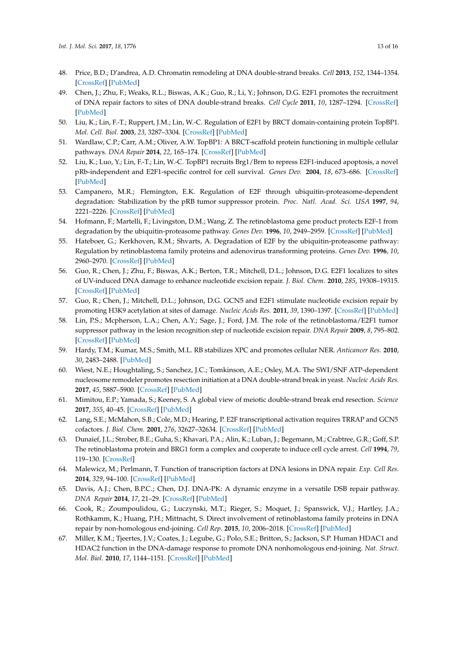- <span id="page-12-0"></span>48. Price, B.D.; D'andrea, A.D. Chromatin remodeling at DNA double-strand breaks. *Cell* **2013**, *152*, 1344–1354. [\[CrossRef\]](http://dx.doi.org/10.1016/j.cell.2013.02.011) [\[PubMed\]](http://www.ncbi.nlm.nih.gov/pubmed/23498941)
- <span id="page-12-1"></span>49. Chen, J.; Zhu, F.; Weaks, R.L.; Biswas, A.K.; Guo, R.; Li, Y.; Johnson, D.G. E2F1 promotes the recruitment of DNA repair factors to sites of DNA double-strand breaks. *Cell Cycle* **2011**, *10*, 1287–1294. [\[CrossRef\]](http://dx.doi.org/10.4161/cc.10.8.15341) [\[PubMed\]](http://www.ncbi.nlm.nih.gov/pubmed/21512314)
- <span id="page-12-2"></span>50. Liu, K.; Lin, F.-T.; Ruppert, J.M.; Lin, W.-C. Regulation of E2F1 by BRCT domain-containing protein TopBP1. *Mol. Cell. Biol.* **2003**, *23*, 3287–3304. [\[CrossRef\]](http://dx.doi.org/10.1128/MCB.23.9.3287-3304.2003) [\[PubMed\]](http://www.ncbi.nlm.nih.gov/pubmed/12697828)
- <span id="page-12-3"></span>51. Wardlaw, C.P.; Carr, A.M.; Oliver, A.W. TopBP1: A BRCT-scaffold protein functioning in multiple cellular pathways. *DNA Repair* **2014**, *22*, 165–174. [\[CrossRef\]](http://dx.doi.org/10.1016/j.dnarep.2014.06.004) [\[PubMed\]](http://www.ncbi.nlm.nih.gov/pubmed/25087188)
- <span id="page-12-4"></span>52. Liu, K.; Luo, Y.; Lin, F.-T.; Lin, W.-C. TopBP1 recruits Brg1/Brm to repress E2F1-induced apoptosis, a novel pRb-independent and E2F1-specific control for cell survival. *Genes Dev.* **2004**, *18*, 673–686. [\[CrossRef\]](http://dx.doi.org/10.1101/gad.1180204) [\[PubMed\]](http://www.ncbi.nlm.nih.gov/pubmed/15075294)
- <span id="page-12-5"></span>53. Campanero, M.R.; Flemington, E.K. Regulation of E2F through ubiquitin-proteasome-dependent degradation: Stabilization by the pRB tumor suppressor protein. *Proc. Natl. Acad. Sci. USA* **1997**, *94*, 2221–2226. [\[CrossRef\]](http://dx.doi.org/10.1073/pnas.94.6.2221) [\[PubMed\]](http://www.ncbi.nlm.nih.gov/pubmed/9122175)
- 54. Hofmann, F.; Martelli, F.; Livingston, D.M.; Wang, Z. The retinoblastoma gene product protects E2F-1 from degradation by the ubiquitin-proteasome pathway. *Genes Dev.* **1996**, *10*, 2949–2959. [\[CrossRef\]](http://dx.doi.org/10.1101/gad.10.23.2949) [\[PubMed\]](http://www.ncbi.nlm.nih.gov/pubmed/8956996)
- <span id="page-12-6"></span>55. Hateboer, G.; Kerkhoven, R.M.; Shvarts, A. Degradation of E2F by the ubiquitin-proteasome pathway: Regulation by retinoblastoma family proteins and adenovirus transforming proteins. *Genes Dev.* **1996**, *10*, 2960–2970. [\[CrossRef\]](http://dx.doi.org/10.1101/gad.10.23.2960) [\[PubMed\]](http://www.ncbi.nlm.nih.gov/pubmed/8956997)
- <span id="page-12-7"></span>56. Guo, R.; Chen, J.; Zhu, F.; Biswas, A.K.; Berton, T.R.; Mitchell, D.L.; Johnson, D.G. E2F1 localizes to sites of UV-induced DNA damage to enhance nucleotide excision repair. *J. Biol. Chem.* **2010**, *285*, 19308–19315. [\[CrossRef\]](http://dx.doi.org/10.1074/jbc.M110.121939) [\[PubMed\]](http://www.ncbi.nlm.nih.gov/pubmed/20413589)
- <span id="page-12-8"></span>57. Guo, R.; Chen, J.; Mitchell, D.L.; Johnson, D.G. GCN5 and E2F1 stimulate nucleotide excision repair by promoting H3K9 acetylation at sites of damage. *Nucleic Acids Res.* **2011**, *39*, 1390–1397. [\[CrossRef\]](http://dx.doi.org/10.1093/nar/gkq983) [\[PubMed\]](http://www.ncbi.nlm.nih.gov/pubmed/20972224)
- <span id="page-12-9"></span>58. Lin, P.S.; Mcpherson, L.A.; Chen, A.Y.; Sage, J.; Ford, J.M. The role of the retinoblastoma/E2F1 tumor suppressor pathway in the lesion recognition step of nucleotide excision repair. *DNA Repair* **2009**, *8*, 795–802. [\[CrossRef\]](http://dx.doi.org/10.1016/j.dnarep.2009.03.003) [\[PubMed\]](http://www.ncbi.nlm.nih.gov/pubmed/19376752)
- <span id="page-12-10"></span>59. Hardy, T.M.; Kumar, M.S.; Smith, M.L. RB stabilizes XPC and promotes cellular NER. *Anticancer Res.* **2010**, *30*, 2483–2488. [\[PubMed\]](http://www.ncbi.nlm.nih.gov/pubmed/20682972)
- <span id="page-12-11"></span>60. Wiest, N.E.; Houghtaling, S.; Sanchez, J.C.; Tomkinson, A.E.; Osley, M.A. The SWI/SNF ATP-dependent nucleosome remodeler promotes resection initiation at a DNA double-strand break in yeast. *Nucleic Acids Res.* **2017**, *45*, 5887–5900. [\[CrossRef\]](http://dx.doi.org/10.1093/nar/gkx221) [\[PubMed\]](http://www.ncbi.nlm.nih.gov/pubmed/28398510)
- <span id="page-12-12"></span>61. Mimitou, E.P.; Yamada, S.; Keeney, S. A global view of meiotic double-strand break end resection. *Science* **2017**, *355*, 40–45. [\[CrossRef\]](http://dx.doi.org/10.1126/science.aak9704) [\[PubMed\]](http://www.ncbi.nlm.nih.gov/pubmed/28059759)
- <span id="page-12-13"></span>62. Lang, S.E.; McMahon, S.B.; Cole, M.D.; Hearing, P. E2F transcriptional activation requires TRRAP and GCN5 cofactors. *J. Biol. Chem.* **2001**, *276*, 32627–32634. [\[CrossRef\]](http://dx.doi.org/10.1074/jbc.M102067200) [\[PubMed\]](http://www.ncbi.nlm.nih.gov/pubmed/11418595)
- <span id="page-12-14"></span>63. Dunaief, J.L.; Strober, B.E.; Guha, S.; Khavari, P.A.; Alin, K.; Luban, J.; Begemann, M.; Crabtree, G.R.; Goff, S.P. The retinoblastoma protein and BRG1 form a complex and cooperate to induce cell cycle arrest. *Cell* **1994**, *79*, 119–130. [\[CrossRef\]](http://dx.doi.org/10.1016/0092-8674(94)90405-7)
- <span id="page-12-15"></span>64. Malewicz, M.; Perlmann, T. Function of transcription factors at DNA lesions in DNA repair. *Exp. Cell Res.* **2014**, *329*, 94–100. [\[CrossRef\]](http://dx.doi.org/10.1016/j.yexcr.2014.08.032) [\[PubMed\]](http://www.ncbi.nlm.nih.gov/pubmed/25173987)
- <span id="page-12-16"></span>65. Davis, A.J.; Chen, B.P.C.; Chen, D.J. DNA-PK: A dynamic enzyme in a versatile DSB repair pathway. *DNA Repair* **2014**, *17*, 21–29. [\[CrossRef\]](http://dx.doi.org/10.1016/j.dnarep.2014.02.020) [\[PubMed\]](http://www.ncbi.nlm.nih.gov/pubmed/24680878)
- <span id="page-12-17"></span>66. Cook, R.; Zoumpoulidou, G.; Luczynski, M.T.; Rieger, S.; Moquet, J.; Spanswick, V.J.; Hartley, J.A.; Rothkamm, K.; Huang, P.H.; Mittnacht, S. Direct involvement of retinoblastoma family proteins in DNA repair by non-homologous end-joining. *Cell Rep.* **2015**, *10*, 2006–2018. [\[CrossRef\]](http://dx.doi.org/10.1016/j.celrep.2015.02.059) [\[PubMed\]](http://www.ncbi.nlm.nih.gov/pubmed/25818292)
- <span id="page-12-18"></span>67. Miller, K.M.; Tjeertes, J.V.; Coates, J.; Legube, G.; Polo, S.E.; Britton, S.; Jackson, S.P. Human HDAC1 and HDAC2 function in the DNA-damage response to promote DNA nonhomologous end-joining. *Nat. Struct. Mol. Biol.* **2010**, *17*, 1144–1151. [\[CrossRef\]](http://dx.doi.org/10.1038/nsmb.1899) [\[PubMed\]](http://www.ncbi.nlm.nih.gov/pubmed/20802485)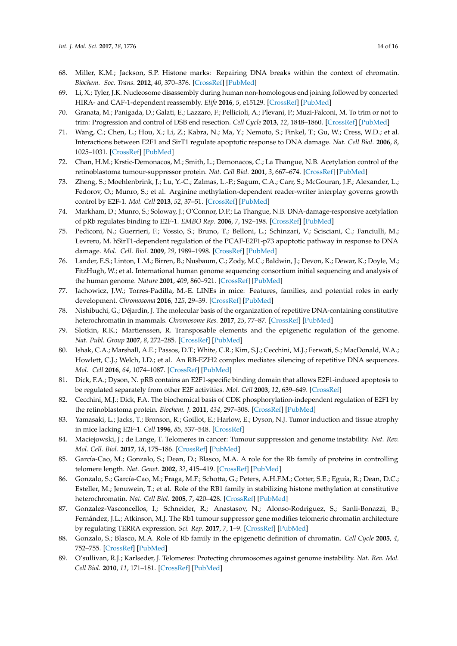- 68. Miller, K.M.; Jackson, S.P. Histone marks: Repairing DNA breaks within the context of chromatin. *Biochem. Soc. Trans.* **2012**, *40*, 370–376. [\[CrossRef\]](http://dx.doi.org/10.1042/BST20110747) [\[PubMed\]](http://www.ncbi.nlm.nih.gov/pubmed/22435814)
- <span id="page-13-0"></span>69. Li, X.; Tyler, J.K. Nucleosome disassembly during human non-homologous end joining followed by concerted HIRA- and CAF-1-dependent reassembly. *Elife* **2016**, *5*, e15129. [\[CrossRef\]](http://dx.doi.org/10.7554/eLife.15129) [\[PubMed\]](http://www.ncbi.nlm.nih.gov/pubmed/27269284)
- <span id="page-13-1"></span>70. Granata, M.; Panigada, D.; Galati, E.; Lazzaro, F.; Pellicioli, A.; Plevani, P.; Muzi-Falconi, M. To trim or not to trim: Progression and control of DSB end resection. *Cell Cycle* **2013**, *12*, 1848–1860. [\[CrossRef\]](http://dx.doi.org/10.4161/cc.25042) [\[PubMed\]](http://www.ncbi.nlm.nih.gov/pubmed/23708517)
- <span id="page-13-2"></span>71. Wang, C.; Chen, L.; Hou, X.; Li, Z.; Kabra, N.; Ma, Y.; Nemoto, S.; Finkel, T.; Gu, W.; Cress, W.D.; et al. Interactions between E2F1 and SirT1 regulate apoptotic response to DNA damage. *Nat. Cell Biol.* **2006**, *8*, 1025–1031. [\[CrossRef\]](http://dx.doi.org/10.1038/ncb1468) [\[PubMed\]](http://www.ncbi.nlm.nih.gov/pubmed/16892051)
- 72. Chan, H.M.; Krstic-Demonacos, M.; Smith, L.; Demonacos, C.; La Thangue, N.B. Acetylation control of the retinoblastoma tumour-suppressor protein. *Nat. Cell Biol.* **2001**, *3*, 667–674. [\[CrossRef\]](http://dx.doi.org/10.1038/35083062) [\[PubMed\]](http://www.ncbi.nlm.nih.gov/pubmed/11433299)
- 73. Zheng, S.; Moehlenbrink, J.; Lu, Y.-C.; Zalmas, L.-P.; Sagum, C.A.; Carr, S.; McGouran, J.F.; Alexander, L.; Fedorov, O.; Munro, S.; et al. Arginine methylation-dependent reader-writer interplay governs growth control by E2F-1. *Mol. Cell* **2013**, *52*, 37–51. [\[CrossRef\]](http://dx.doi.org/10.1016/j.molcel.2013.08.039) [\[PubMed\]](http://www.ncbi.nlm.nih.gov/pubmed/24076217)
- <span id="page-13-17"></span>74. Markham, D.; Munro, S.; Soloway, J.; O'Connor, D.P.; La Thangue, N.B. DNA-damage-responsive acetylation of pRb regulates binding to E2F-1. *EMBO Rep.* **2006**, *7*, 192–198. [\[CrossRef\]](http://dx.doi.org/10.1038/sj.embor.7400591) [\[PubMed\]](http://www.ncbi.nlm.nih.gov/pubmed/16374512)
- <span id="page-13-3"></span>75. Pediconi, N.; Guerrieri, F.; Vossio, S.; Bruno, T.; Belloni, L.; Schinzari, V.; Scisciani, C.; Fanciulli, M.; Levrero, M. hSirT1-dependent regulation of the PCAF-E2F1-p73 apoptotic pathway in response to DNA damage. *Mol. Cell. Biol.* **2009**, *29*, 1989–1998. [\[CrossRef\]](http://dx.doi.org/10.1128/MCB.00552-08) [\[PubMed\]](http://www.ncbi.nlm.nih.gov/pubmed/19188449)
- <span id="page-13-4"></span>76. Lander, E.S.; Linton, L.M.; Birren, B.; Nusbaum, C.; Zody, M.C.; Baldwin, J.; Devon, K.; Dewar, K.; Doyle, M.; FitzHugh, W.; et al. International human genome sequencing consortium initial sequencing and analysis of the human genome. *Nature* **2001**, *409*, 860–921. [\[CrossRef\]](http://dx.doi.org/10.1038/35057062) [\[PubMed\]](http://www.ncbi.nlm.nih.gov/pubmed/11237011)
- <span id="page-13-5"></span>77. Jachowicz, J.W.; Torres-Padilla, M.-E. LINEs in mice: Features, families, and potential roles in early development. *Chromosoma* **2016**, *125*, 29–39. [\[CrossRef\]](http://dx.doi.org/10.1007/s00412-015-0520-2) [\[PubMed\]](http://www.ncbi.nlm.nih.gov/pubmed/25975894)
- <span id="page-13-6"></span>78. Nishibuchi, G.; Déjardin, J. The molecular basis of the organization of repetitive DNA-containing constitutive heterochromatin in mammals. *Chromosome Res.* **2017**, *25*, 77–87. [\[CrossRef\]](http://dx.doi.org/10.1007/s10577-016-9547-3) [\[PubMed\]](http://www.ncbi.nlm.nih.gov/pubmed/28078514)
- <span id="page-13-7"></span>79. Slotkin, R.K.; Martienssen, R. Transposable elements and the epigenetic regulation of the genome. *Nat. Publ. Group* **2007**, *8*, 272–285. [\[CrossRef\]](http://dx.doi.org/10.1038/nrg2072) [\[PubMed\]](http://www.ncbi.nlm.nih.gov/pubmed/17363976)
- <span id="page-13-8"></span>80. Ishak, C.A.; Marshall, A.E.; Passos, D.T.; White, C.R.; Kim, S.J.; Cecchini, M.J.; Ferwati, S.; MacDonald, W.A.; Howlett, C.J.; Welch, I.D.; et al. An RB-EZH2 complex mediates silencing of repetitive DNA sequences. *Mol. Cell* **2016**, *64*, 1074–1087. [\[CrossRef\]](http://dx.doi.org/10.1016/j.molcel.2016.10.021) [\[PubMed\]](http://www.ncbi.nlm.nih.gov/pubmed/27889452)
- <span id="page-13-9"></span>81. Dick, F.A.; Dyson, N. pRB contains an E2F1-specific binding domain that allows E2F1-induced apoptosis to be regulated separately from other E2F activities. *Mol. Cell* **2003**, *12*, 639–649. [\[CrossRef\]](http://dx.doi.org/10.1016/S1097-2765(03)00344-7)
- <span id="page-13-10"></span>82. Cecchini, M.J.; Dick, F.A. The biochemical basis of CDK phosphorylation-independent regulation of E2F1 by the retinoblastoma protein. *Biochem. J.* **2011**, *434*, 297–308. [\[CrossRef\]](http://dx.doi.org/10.1042/BJ20101210) [\[PubMed\]](http://www.ncbi.nlm.nih.gov/pubmed/21143199)
- <span id="page-13-11"></span>83. Yamasaki, L.; Jacks, T.; Bronson, R.; Goillot, E.; Harlow, E.; Dyson, N.J. Tumor induction and tissue atrophy in mice lacking E2F-1. *Cell* **1996**, *85*, 537–548. [\[CrossRef\]](http://dx.doi.org/10.1016/S0092-8674(00)81254-4)
- <span id="page-13-12"></span>84. Maciejowski, J.; de Lange, T. Telomeres in cancer: Tumour suppression and genome instability. *Nat. Rev. Mol. Cell. Biol.* **2017**, *18*, 175–186. [\[CrossRef\]](http://dx.doi.org/10.1038/nrm.2016.171) [\[PubMed\]](http://www.ncbi.nlm.nih.gov/pubmed/28096526)
- <span id="page-13-13"></span>85. García-Cao, M.; Gonzalo, S.; Dean, D.; Blasco, M.A. A role for the Rb family of proteins in controlling telomere length. *Nat. Genet.* **2002**, *32*, 415–419. [\[CrossRef\]](http://dx.doi.org/10.1038/ng1011) [\[PubMed\]](http://www.ncbi.nlm.nih.gov/pubmed/12379853)
- <span id="page-13-15"></span>86. Gonzalo, S.; García-Cao, M.; Fraga, M.F.; Schotta, G.; Peters, A.H.F.M.; Cotter, S.E.; Eguía, R.; Dean, D.C.; Esteller, M.; Jenuwein, T.; et al. Role of the RB1 family in stabilizing histone methylation at constitutive heterochromatin. *Nat. Cell Biol.* **2005**, *7*, 420–428. [\[CrossRef\]](http://dx.doi.org/10.1038/ncb1235) [\[PubMed\]](http://www.ncbi.nlm.nih.gov/pubmed/15750587)
- 87. Gonzalez-Vasconcellos, I.; Schneider, R.; Anastasov, N.; Alonso-Rodriguez, S.; Sanli-Bonazzi, B.; Fernández, J.L.; Atkinson, M.J. The Rb1 tumour suppressor gene modifies telomeric chromatin architecture by regulating TERRA expression. *Sci. Rep.* **2017**, *7*, 1–9. [\[CrossRef\]](http://dx.doi.org/10.1038/srep42056) [\[PubMed\]](http://www.ncbi.nlm.nih.gov/pubmed/28169375)
- <span id="page-13-14"></span>88. Gonzalo, S.; Blasco, M.A. Role of Rb family in the epigenetic definition of chromatin. *Cell Cycle* **2005**, *4*, 752–755. [\[CrossRef\]](http://dx.doi.org/10.4161/cc.4.6.1720) [\[PubMed\]](http://www.ncbi.nlm.nih.gov/pubmed/15908781)
- <span id="page-13-16"></span>89. O'sullivan, R.J.; Karlseder, J. Telomeres: Protecting chromosomes against genome instability. *Nat. Rev. Mol. Cell Biol.* **2010**, *11*, 171–181. [\[CrossRef\]](http://dx.doi.org/10.1038/nrm2848) [\[PubMed\]](http://www.ncbi.nlm.nih.gov/pubmed/20125188)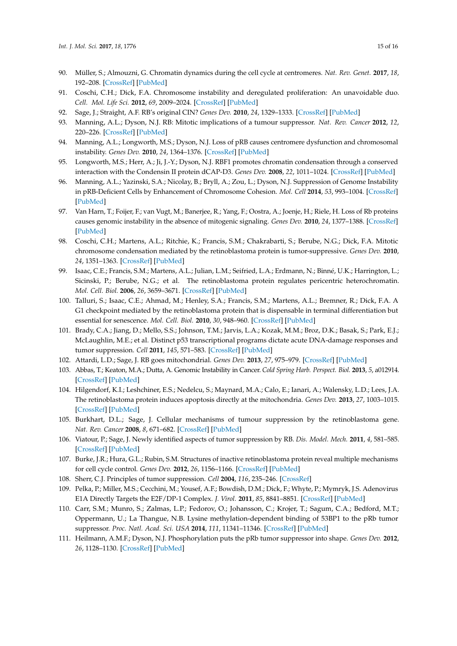- <span id="page-14-0"></span>90. Müller, S.; Almouzni, G. Chromatin dynamics during the cell cycle at centromeres. *Nat. Rev. Genet.* **2017**, *18*, 192–208. [\[CrossRef\]](http://dx.doi.org/10.1038/nrg.2016.157) [\[PubMed\]](http://www.ncbi.nlm.nih.gov/pubmed/28138144)
- <span id="page-14-1"></span>91. Coschi, C.H.; Dick, F.A. Chromosome instability and deregulated proliferation: An unavoidable duo. *Cell. Mol. Life Sci.* **2012**, *69*, 2009–2024. [\[CrossRef\]](http://dx.doi.org/10.1007/s00018-011-0910-4) [\[PubMed\]](http://www.ncbi.nlm.nih.gov/pubmed/22223110)
- <span id="page-14-2"></span>92. Sage, J.; Straight, A.F. RB's original CIN? *Genes Dev.* **2010**, *24*, 1329–1333. [\[CrossRef\]](http://dx.doi.org/10.1101/gad.1948010) [\[PubMed\]](http://www.ncbi.nlm.nih.gov/pubmed/20551167)
- <span id="page-14-3"></span>93. Manning, A.L.; Dyson, N.J. RB: Mitotic implications of a tumour suppressor. *Nat. Rev. Cancer* **2012**, *12*, 220–226. [\[CrossRef\]](http://dx.doi.org/10.1038/nrc3216) [\[PubMed\]](http://www.ncbi.nlm.nih.gov/pubmed/22318235)
- <span id="page-14-4"></span>94. Manning, A.L.; Longworth, M.S.; Dyson, N.J. Loss of pRB causes centromere dysfunction and chromosomal instability. *Genes Dev.* **2010**, *24*, 1364–1376. [\[CrossRef\]](http://dx.doi.org/10.1101/gad.1917310) [\[PubMed\]](http://www.ncbi.nlm.nih.gov/pubmed/20551165)
- <span id="page-14-5"></span>95. Longworth, M.S.; Herr, A.; Ji, J.-Y.; Dyson, N.J. RBF1 promotes chromatin condensation through a conserved interaction with the Condensin II protein dCAP-D3. *Genes Dev.* **2008**, *22*, 1011–1024. [\[CrossRef\]](http://dx.doi.org/10.1101/gad.1631508) [\[PubMed\]](http://www.ncbi.nlm.nih.gov/pubmed/18367646)
- <span id="page-14-6"></span>96. Manning, A.L.; Yazinski, S.A.; Nicolay, B.; Bryll, A.; Zou, L.; Dyson, N.J. Suppression of Genome Instability in pRB-Deficient Cells by Enhancement of Chromosome Cohesion. *Mol. Cell* **2014**, *53*, 993–1004. [\[CrossRef\]](http://dx.doi.org/10.1016/j.molcel.2014.01.032) [\[PubMed\]](http://www.ncbi.nlm.nih.gov/pubmed/24613344)
- <span id="page-14-7"></span>97. Van Harn, T.; Foijer, F.; van Vugt, M.; Banerjee, R.; Yang, F.; Oostra, A.; Joenje, H.; Riele, H. Loss of Rb proteins causes genomic instability in the absence of mitogenic signaling. *Genes Dev.* **2010**, *24*, 1377–1388. [\[CrossRef\]](http://dx.doi.org/10.1101/gad.580710) [\[PubMed\]](http://www.ncbi.nlm.nih.gov/pubmed/20551164)
- <span id="page-14-8"></span>98. Coschi, C.H.; Martens, A.L.; Ritchie, K.; Francis, S.M.; Chakrabarti, S.; Berube, N.G.; Dick, F.A. Mitotic chromosome condensation mediated by the retinoblastoma protein is tumor-suppressive. *Genes Dev.* **2010**, *24*, 1351–1363. [\[CrossRef\]](http://dx.doi.org/10.1101/gad.1917610) [\[PubMed\]](http://www.ncbi.nlm.nih.gov/pubmed/20551166)
- <span id="page-14-9"></span>99. Isaac, C.E.; Francis, S.M.; Martens, A.L.; Julian, L.M.; Seifried, L.A.; Erdmann, N.; Binné, U.K.; Harrington, L.; Sicinski, P.; Berube, N.G.; et al. The retinoblastoma protein regulates pericentric heterochromatin. *Mol. Cell. Biol.* **2006**, *26*, 3659–3671. [\[CrossRef\]](http://dx.doi.org/10.1128/MCB.26.9.3659-3671.2006) [\[PubMed\]](http://www.ncbi.nlm.nih.gov/pubmed/16612004)
- <span id="page-14-10"></span>100. Talluri, S.; Isaac, C.E.; Ahmad, M.; Henley, S.A.; Francis, S.M.; Martens, A.L.; Bremner, R.; Dick, F.A. A G1 checkpoint mediated by the retinoblastoma protein that is dispensable in terminal differentiation but essential for senescence. *Mol. Cell. Biol.* **2010**, *30*, 948–960. [\[CrossRef\]](http://dx.doi.org/10.1128/MCB.01168-09) [\[PubMed\]](http://www.ncbi.nlm.nih.gov/pubmed/20008551)
- <span id="page-14-11"></span>101. Brady, C.A.; Jiang, D.; Mello, S.S.; Johnson, T.M.; Jarvis, L.A.; Kozak, M.M.; Broz, D.K.; Basak, S.; Park, E.J.; McLaughlin, M.E.; et al. Distinct p53 transcriptional programs dictate acute DNA-damage responses and tumor suppression. *Cell* **2011**, *145*, 571–583. [\[CrossRef\]](http://dx.doi.org/10.1016/j.cell.2011.03.035) [\[PubMed\]](http://www.ncbi.nlm.nih.gov/pubmed/21565614)
- <span id="page-14-12"></span>102. Attardi, L.D.; Sage, J. RB goes mitochondrial. *Genes Dev.* **2013**, *27*, 975–979. [\[CrossRef\]](http://dx.doi.org/10.1101/gad.219451.113) [\[PubMed\]](http://www.ncbi.nlm.nih.gov/pubmed/23651852)
- <span id="page-14-13"></span>103. Abbas, T.; Keaton, M.A.; Dutta, A. Genomic Instability in Cancer. *Cold Spring Harb. Perspect. Biol.* **2013**, *5*, a012914. [\[CrossRef\]](http://dx.doi.org/10.1101/cshperspect.a012914) [\[PubMed\]](http://www.ncbi.nlm.nih.gov/pubmed/23335075)
- <span id="page-14-14"></span>104. Hilgendorf, K.I.; Leshchiner, E.S.; Nedelcu, S.; Maynard, M.A.; Calo, E.; Ianari, A.; Walensky, L.D.; Lees, J.A. The retinoblastoma protein induces apoptosis directly at the mitochondria. *Genes Dev.* **2013**, *27*, 1003–1015. [\[CrossRef\]](http://dx.doi.org/10.1101/gad.211326.112) [\[PubMed\]](http://www.ncbi.nlm.nih.gov/pubmed/23618872)
- 105. Burkhart, D.L.; Sage, J. Cellular mechanisms of tumour suppression by the retinoblastoma gene. *Nat. Rev. Cancer* **2008**, *8*, 671–682. [\[CrossRef\]](http://dx.doi.org/10.1038/nrc2399) [\[PubMed\]](http://www.ncbi.nlm.nih.gov/pubmed/18650841)
- <span id="page-14-15"></span>106. Viatour, P.; Sage, J. Newly identified aspects of tumor suppression by RB. *Dis. Model. Mech.* **2011**, *4*, 581–585. [\[CrossRef\]](http://dx.doi.org/10.1242/dmm.008060) [\[PubMed\]](http://www.ncbi.nlm.nih.gov/pubmed/21878458)
- <span id="page-14-16"></span>107. Burke, J.R.; Hura, G.L.; Rubin, S.M. Structures of inactive retinoblastoma protein reveal multiple mechanisms for cell cycle control. *Genes Dev.* **2012**, *26*, 1156–1166. [\[CrossRef\]](http://dx.doi.org/10.1101/gad.189837.112) [\[PubMed\]](http://www.ncbi.nlm.nih.gov/pubmed/22569856)
- <span id="page-14-17"></span>108. Sherr, C.J. Principles of tumor suppression. *Cell* **2004**, *116*, 235–246. [\[CrossRef\]](http://dx.doi.org/10.1016/S0092-8674(03)01075-4)
- <span id="page-14-18"></span>109. Pelka, P.; Miller, M.S.; Cecchini, M.; Yousef, A.F.; Bowdish, D.M.; Dick, F.; Whyte, P.; Mymryk, J.S. Adenovirus E1A Directly Targets the E2F/DP-1 Complex. *J. Virol.* **2011**, *85*, 8841–8851. [\[CrossRef\]](http://dx.doi.org/10.1128/JVI.00539-11) [\[PubMed\]](http://www.ncbi.nlm.nih.gov/pubmed/21715488)
- <span id="page-14-19"></span>110. Carr, S.M.; Munro, S.; Zalmas, L.P.; Fedorov, O.; Johansson, C.; Krojer, T.; Sagum, C.A.; Bedford, M.T.; Oppermann, U.; La Thangue, N.B. Lysine methylation-dependent binding of 53BP1 to the pRb tumor suppressor. *Proc. Natl. Acad. Sci. USA* **2014**, *111*, 11341–11346. [\[CrossRef\]](http://dx.doi.org/10.1073/pnas.1403737111) [\[PubMed\]](http://www.ncbi.nlm.nih.gov/pubmed/25049398)
- <span id="page-14-20"></span>111. Heilmann, A.M.F.; Dyson, N.J. Phosphorylation puts the pRb tumor suppressor into shape. *Genes Dev.* **2012**, *26*, 1128–1130. [\[CrossRef\]](http://dx.doi.org/10.1101/gad.195552.112) [\[PubMed\]](http://www.ncbi.nlm.nih.gov/pubmed/22661226)